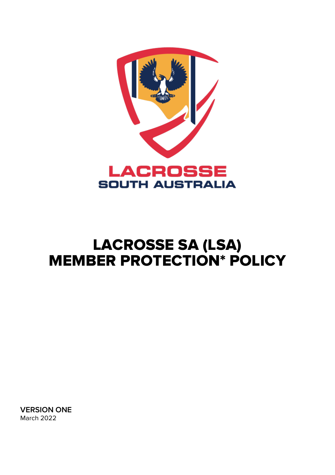

# LACROSSE SA (LSA) MEMBER PROTECTION\* POLICY

**VERSION ONE** March 2022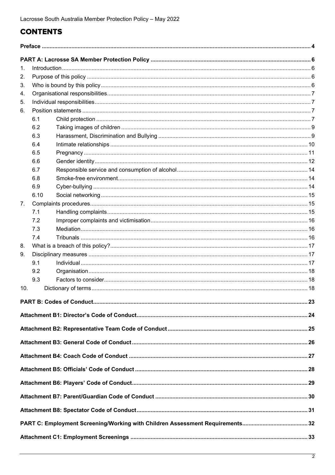# **CONTENTS**

| 1.  |            |  |  |  |
|-----|------------|--|--|--|
| 2.  |            |  |  |  |
| 3.  |            |  |  |  |
| 4.  |            |  |  |  |
| 5.  |            |  |  |  |
| 6.  |            |  |  |  |
|     | 6.1        |  |  |  |
|     | 6.2        |  |  |  |
|     | 6.3        |  |  |  |
|     | 6.4        |  |  |  |
|     | 6.5<br>6.6 |  |  |  |
|     | 6.7        |  |  |  |
|     | 6.8        |  |  |  |
|     | 6.9        |  |  |  |
|     | 6.10       |  |  |  |
| 7.  |            |  |  |  |
|     | 7.1        |  |  |  |
|     | 7.2        |  |  |  |
|     | 7.3        |  |  |  |
|     | 7.4        |  |  |  |
| 8.  |            |  |  |  |
| 9.  |            |  |  |  |
|     | 9.1        |  |  |  |
|     | 9.2        |  |  |  |
|     | 9.3        |  |  |  |
| 10. |            |  |  |  |
|     |            |  |  |  |
|     |            |  |  |  |
|     |            |  |  |  |
|     |            |  |  |  |
|     |            |  |  |  |
|     |            |  |  |  |
|     |            |  |  |  |
|     |            |  |  |  |
|     |            |  |  |  |
|     |            |  |  |  |
|     |            |  |  |  |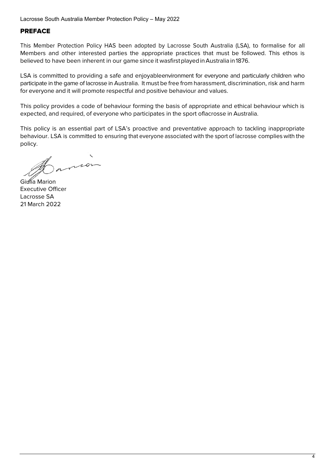# <span id="page-3-0"></span>PREFACE

This Member Protection Policy HAS been adopted by Lacrosse South Australia (LSA), to formalise for all Members and other interested parties the appropriate practices that must be followed. This ethos is believed to have been inherent in our game since it wasfirst played in Australia in 1876.

LSA is committed to providing a safe and enjoyableenvironment for everyone and particularly children who participate in the game of lacrosse in Australia. It must be free from harassment, discrimination, risk and harm for everyone and it will promote respectful and positive behaviour and values.

This policy provides a code of behaviour forming the basis of appropriate and ethical behaviour which is expected, and required, of everyone who participates in the sport oflacrosse in Australia.

This policy is an essential part of LSA's proactive and preventative approach to tackling inappropriate behaviour. LSA is committed to ensuring that everyone associated with the sport of lacrosse complies with the policy.

 $\overline{\phantom{0}}$ non

Giulia Marion Executive Officer Lacrosse SA 21 March 2022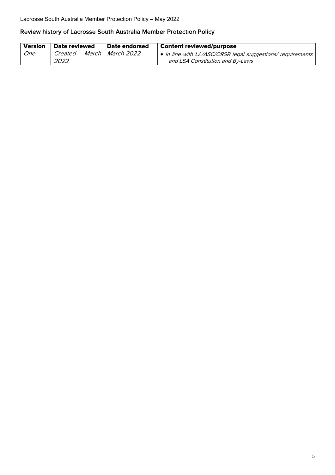# Review history of Lacrosse South Australia Member Protection Policy

| <b>Version</b> | Date reviewed   | <b>Date endorsed</b> | <b>Content reviewed/purpose</b>                                                                                    |
|----------------|-----------------|----------------------|--------------------------------------------------------------------------------------------------------------------|
| <b>One</b>     | Created<br>2022 | March   March 2022   | $\vert \bullet \vert$ in line with LA/ASC/ORSR legal suggestions/ requirements<br>and LSA Constitution and By-Laws |
|                |                 |                      |                                                                                                                    |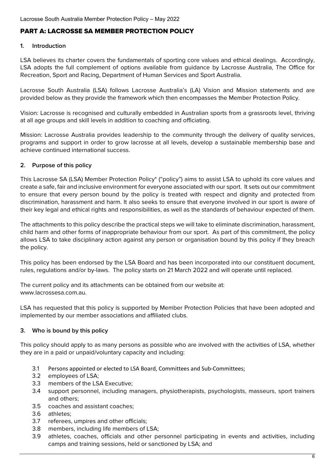# <span id="page-5-0"></span>PART A: LACROSSE SA MEMBER PROTECTION POLICY

# <span id="page-5-1"></span>**1. Introduction**

LSA believes its charter covers the fundamentals of sporting core values and ethical dealings. Accordingly, LSA adopts the full complement of options available from guidance by Lacrosse Australia, The Office for Recreation, Sport and Racing, Department of Human Services and Sport Australia.

Lacrosse South Australia (LSA) follows Lacrosse Australia's (LA) Vision and Mission statements and are provided below as they provide the framework which then encompasses the Member Protection Policy.

Vision: Lacrosse is recognised and culturally embedded in Australian sports from a grassroots level, thriving at all age groups and skill levels in addition to coaching and officiating.

Mission: Lacrosse Australia provides leadership to the community through the delivery of quality services, programs and support in order to grow lacrosse at all levels, develop a sustainable membership base and achieve continued international success.

# <span id="page-5-2"></span>**2. Purpose of this policy**

This Lacrosse SA (LSA) Member Protection Policy\* ("policy") aims to assist LSA to uphold its core values and create a safe, fair and inclusive environment for everyone associated with our sport. It sets out our commitment to ensure that every person bound by the policy is treated with respect and dignity and protected from discrimination, harassment and harm. It also seeks to ensure that everyone involved in our sport is aware of their key legal and ethical rights and responsibilities, as well as the standards of behaviour expected of them.

The attachments to this policy describe the practical steps we will take to eliminate discrimination, harassment, child harm and other forms of inappropriate behaviour from our sport. As part of this commitment, the policy allows LSA to take disciplinary action against any person or organisation bound by this policy if they breach the policy.

This policy has been endorsed by the LSA Board and has been incorporated into our constituent document, rules, regulations and/or by-laws. The policy starts on 21 March 2022 and will operate until replaced.

The current policy and its attachments can be obtained from our website at: www.lacrossesa.com.au.

LSA has requested that this policy is supported by Member Protection Policies that have been adopted and implemented by our member associations and affiliated clubs.

#### <span id="page-5-3"></span>**3. Who is bound by this policy**

This policy should apply to as many persons as possible who are involved with the activities of LSA, whether they are in a paid or unpaid/voluntary capacity and including:

- 3.1 Persons appointed or elected to LSA Board, Committees and Sub-Committees;
- 3.2 employees of LSA;
- 3.3 members of the LSA Executive;
- 3.4 support personnel, including managers, physiotherapists, psychologists, masseurs, sport trainers and others;
- 3.5 coaches and assistant coaches;
- 3.6 athletes;
- 3.7 referees, umpires and other officials;
- 3.8 members, including life members of LSA;
- 3.9 athletes, coaches, officials and other personnel participating in events and activities, including camps and training sessions, held or sanctioned by LSA; and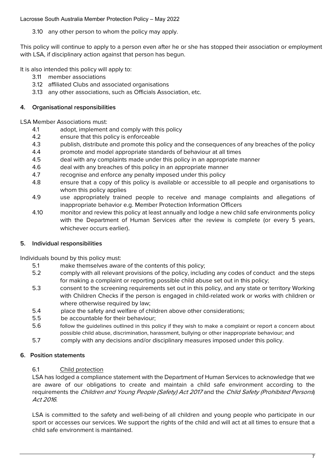3.10 any other person to whom the policy may apply.

This policy will continue to apply to a person even after he or she has stopped their association or employment with LSA, if disciplinary action against that person has begun.

It is also intended this policy will apply to:

- 3.11 member associations
- 3.12 affiliated Clubs and associated organisations
- 3.13 any other associations, such as Officials Association, etc.

# <span id="page-6-0"></span>**4. Organisational responsibilities**

LSA Member Associations must:

- 4.1 adopt, implement and comply with this policy
- 4.2 ensure that this policy is enforceable
- 4.3 publish, distribute and promote this policy and the consequences of any breaches of the policy
- 4.4 promote and model appropriate standards of behaviour at all times
- 4.5 deal with any complaints made under this policy in an appropriate manner
- 4.6 deal with any breaches of this policy in an appropriate manner
- 4.7 recognise and enforce any penalty imposed under this policy
- 4.8 ensure that a copy of this policy is available or accessible to all people and organisations to whom this policy applies
- 4.9 use appropriately trained people to receive and manage complaints and allegations of inappropriate behavior e.g. Member Protection Information Officers
- 4.10 monitor and review this policy at least annually and lodge a new child safe environments policy with the Department of Human Services after the review is complete (or every 5 years, whichever occurs earlier).

#### <span id="page-6-1"></span>**5. Individual responsibilities**

Individuals bound by this policy must:

- 5.1 make themselves aware of the contents of this policy;
- 5.2 comply with all relevant provisions of the policy, including any codes of conduct and the steps for making a complaint or reporting possible child abuse set out in this policy;
- 5.3 consent to the screening requirements set out in this policy, and any state or territory Working with Children Checks if the person is engaged in child-related work or works with children or where otherwise required by law;
- 5.4 place the safety and welfare of children above other considerations;
- 5.5 be accountable for their behaviour;
- 5.6 follow the guidelines outlined in this policy if they wish to make a complaint or report a concern about possible child abuse, discrimination, harassment, bullying or other inappropriate behaviour; and
- 5.7 comply with any decisions and/or disciplinary measures imposed under this policy.

# <span id="page-6-2"></span>**6. Position statements**

# <span id="page-6-3"></span>6.1 Child protection

LSA has lodged a compliance statement with the Department of Human Services to acknowledge that we are aware of our obligations to create and maintain a child safe environment according to the requirements the Children and Young People (Safety) Act 2017 and the Child Safety (Prohibited Persons) Act 2016.

LSA is committed to the safety and well-being of all children and young people who participate in our sport or accesses our services. We support the rights of the child and will act at all times to ensure that a child safe environment is maintained.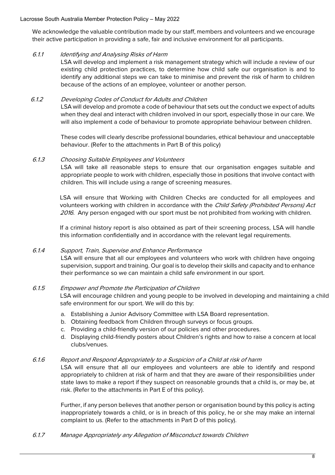We acknowledge the valuable contribution made by our staff, members and volunteers and we encourage their active participation in providing a safe, fair and inclusive environment for all participants.

#### 6.1.1 Identifying and Analysing Risks of Harm

LSA will develop and implement a risk management strategy which will include a review of our existing child protection practices, to determine how child safe our organisation is and to identify any additional steps we can take to minimise and prevent the risk of harm to children because of the actions of an employee, volunteer or another person.

# 6.1.2 Developing Codes of Conduct for Adults and Children

LSA will develop and promote a code of behaviour that sets out the conduct we expect of adults when they deal and interact with children involved in our sport, especially those in our care. We will also implement a code of behaviour to promote appropriate behaviour between children.

These codes will clearly describe professional boundaries, ethical behaviour and unacceptable behaviour. (Refer to the attachments in Part B of this policy)

#### 6.1.3 Choosing Suitable Employees and Volunteers

LSA will take all reasonable steps to ensure that our organisation engages suitable and appropriate people to work with children, especially those in positions that involve contact with children. This will include using a range of screening measures.

LSA will ensure that Working with Children Checks are conducted for all employees and volunteers working with children in accordance with the Child Safety (Prohibited Persons) Act 2016. Any person engaged with our sport must be not prohibited from working with children.

If a criminal history report is also obtained as part of their screening process, LSA will handle this information confidentially and in accordance with the relevant legal requirements.

#### 6.1.4 Support, Train, Supervise and Enhance Performance

LSA will ensure that all our employees and volunteers who work with children have ongoing supervision, support and training. Our goal is to develop their skills and capacity and to enhance their performance so we can maintain a child safe environment in our sport.

#### 6.1.5 Empower and Promote the Participation of Children

LSA will encourage children and young people to be involved in developing and maintaining a child safe environment for our sport. We will do this by:

- a. Establishing a Junior Advisory Committee with LSA Board representation.
- b. Obtaining feedback from Children through surveys or focus groups.
- c. Providing a child-friendly version of our policies and other procedures.
- d. Displaying child-friendly posters about Children's rights and how to raise a concern at local clubs/venues.

#### 6.1.6 Report and Respond Appropriately to a Suspicion of a Child at risk of harm

LSA will ensure that all our employees and volunteers are able to identify and respond appropriately to children at risk of harm and that they are aware of their responsibilities under state laws to make a report if they suspect on reasonable grounds that a child is, or may be, at risk. (Refer to the attachments in Part E of this policy).

Further, if any person believes that another person or organisation bound by this policy is acting inappropriately towards a child, or is in breach of this policy, he or she may make an internal complaint to us. (Refer to the attachments in Part D of this policy).

#### 6.1.7 Manage Appropriately any Allegation of Misconduct towards Children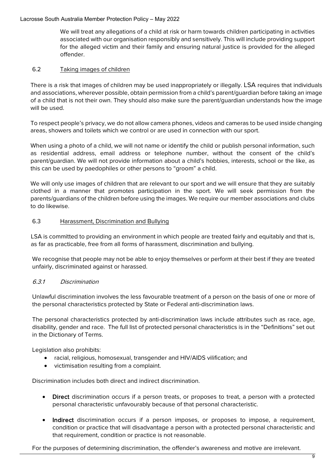We will treat any allegations of a child at risk or harm towards children participating in activities associated with our organisation responsibly and sensitively. This will include providing support for the alleged victim and their family and ensuring natural justice is provided for the alleged offender.

#### <span id="page-8-0"></span>6.2 Taking images of children

There is a risk that images of children may be used inappropriately or illegally. LSA requires that individuals and associations, wherever possible, obtain permission from a child's parent/guardian before taking an image of a child that is not their own. They should also make sure the parent/guardian understands how the image will be used.

To respect people's privacy, we do not allow camera phones, videos and cameras to be used inside changing areas, showers and toilets which we control or are used in connection with our sport.

When using a photo of a child, we will not name or identify the child or publish personal information, such as residential address, email address or telephone number, without the consent of the child's parent/guardian. We will not provide information about a child's hobbies, interests, school or the like, as this can be used by paedophiles or other persons to "groom" a child.

We will only use images of children that are relevant to our sport and we will ensure that they are suitably clothed in a manner that promotes participation in the sport. We will seek permission from the parents/guardians of the children before using the images. We require our member associations and clubs to do likewise.

#### <span id="page-8-1"></span>6.3 Harassment, Discrimination and Bullying

LSA is committed to providing an environment in which people are treated fairly and equitably and that is, as far as practicable, free from all forms of harassment, discrimination and bullying.

We recognise that people may not be able to enjoy themselves or perform at their best if they are treated unfairly, discriminated against or harassed.

#### 6.3.1 Discrimination

Unlawful discrimination involves the less favourable treatment of a person on the basis of one or more of the personal characteristics protected by State or Federal anti-discrimination laws.

The personal characteristics protected by anti-discrimination laws include attributes such as race, age, disability, gender and race. The full list of protected personal characteristics is in the "Definitions" set out in the Dictionary of Terms.

Legislation also prohibits:

- racial, religious, homosexual, transgender and HIV/AIDS vilification; and
- victimisation resulting from a complaint.

Discrimination includes both direct and indirect discrimination.

- Direct discrimination occurs if a person treats, or proposes to treat, a person with a protected personal characteristic unfavourably because of that personal characteristic.
- Indirect discrimination occurs if a person imposes, or proposes to impose, a requirement, condition or practice that will disadvantage a person with a protected personal characteristic and that requirement, condition or practice is not reasonable.

For the purposes of determining discrimination, the offender's awareness and motive are irrelevant.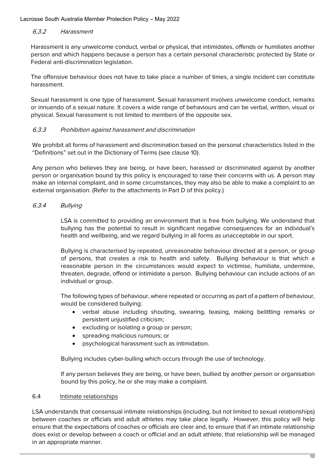#### 6.3.2 Harassment

Harassment is any unwelcome conduct, verbal or physical, that intimidates, offends or humiliates another person and which happens because a person has a certain personal characteristic protected by State or Federal anti-discrimination legislation.

The offensive behaviour does not have to take place a number of times, a single incident can constitute harassment.

Sexual harassment is one type of harassment. Sexual harassment involves unwelcome conduct, remarks or innuendo of a sexual nature. It covers a wide range of behaviours and can be verbal, written, visual or physical. Sexual harassment is not limited to members of the opposite sex.

# 6.3.3 Prohibition against harassment and discrimination

We prohibit all forms of harassment and discrimination based on the personal characteristics listed in the "Definitions" set out in the Dictionary of Terms (see clause 10).

Any person who believes they are being, or have been, harassed or discriminated against by another person or organisation bound by this policy is encouraged to raise their concerns with us. A person may make an internal complaint, and in some circumstances, they may also be able to make a complaint to an external organisation. (Refer to the attachments in Part D of this policy.)

# 6.3.4 Bullying

LSA is committed to providing an environment that is free from bullying. We understand that bullying has the potential to result in significant negative consequences for an individual's health and wellbeing, and we regard bullying in all forms as unacceptable in our sport.

Bullying is characterised by repeated, unreasonable behaviour directed at a person, or group of persons, that creates a risk to health and safety. Bullying behaviour is that which a reasonable person in the circumstances would expect to victimise, humiliate, undermine, threaten, degrade, offend or intimidate a person. Bullying behaviour can include actions of an individual or group.

The following types of behaviour, where repeated or occurring as part of a pattern of behaviour, would be considered bullying:

- verbal abuse including shouting, swearing, teasing, making belittling remarks or persistent unjustified criticism;
- excluding or isolating a group or person;
- spreading malicious rumours; or
- psychological harassment such as intimidation.

Bullying includes cyber-bulling which occurs through the use of technology.

If any person believes they are being, or have been, bullied by another person or organisation bound by this policy, he or she may make a complaint.

#### <span id="page-9-0"></span>6.4 Intimate relationships

LSA understands that consensual intimate relationships (including, but not limited to sexual relationships) between coaches or officials and adult athletes may take place legally. However, this policy will help ensure that the expectations of coaches or officials are clear and, to ensure that if an intimate relationship does exist or develop between a coach or official and an adult athlete, that relationship will be managed in an appropriate manner.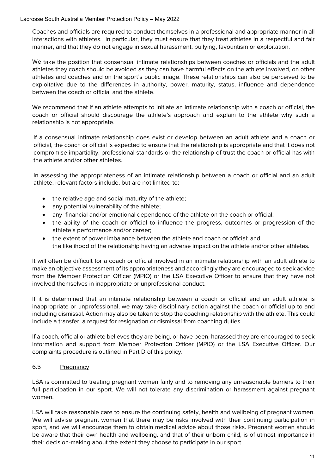Coaches and officials are required to conduct themselves in a professional and appropriate manner in all interactions with athletes. In particular, they must ensure that they treat athletes in a respectful and fair manner, and that they do not engage in sexual harassment, bullying, favouritism or exploitation.

We take the position that consensual intimate relationships between coaches or officials and the adult athletes they coach should be avoided as they can have harmful effects on the athlete involved, on other athletes and coaches and on the sport's public image. These relationships can also be perceived to be exploitative due to the differences in authority, power, maturity, status, influence and dependence between the coach or official and the athlete.

We recommend that if an athlete attempts to initiate an intimate relationship with a coach or official, the coach or official should discourage the athlete's approach and explain to the athlete why such a relationship is not appropriate.

If a consensual intimate relationship does exist or develop between an adult athlete and a coach or official, the coach or official is expected to ensure that the relationship is appropriate and that it does not compromise impartiality, professional standards or the relationship of trust the coach or official has with the athlete and/or other athletes.

In assessing the appropriateness of an intimate relationship between a coach or official and an adult athlete, relevant factors include, but are not limited to:

- the relative age and social maturity of the athlete;
- any potential vulnerability of the athlete;
- any financial and/or emotional dependence of the athlete on the coach or official;
- the ability of the coach or official to influence the progress, outcomes or progression of the athlete's performance and/or career;
- the extent of power imbalance between the athlete and coach or official; and the likelihood of the relationship having an adverse impact on the athlete and/or other athletes.

It will often be difficult for a coach or official involved in an intimate relationship with an adult athlete to make an objective assessment of its appropriateness and accordingly they are encouraged to seek advice from the Member Protection Officer (MPIO) or the LSA Executive Officer to ensure that they have not involved themselves in inappropriate or unprofessional conduct.

If it is determined that an intimate relationship between a coach or official and an adult athlete is inappropriate or unprofessional, we may take disciplinary action against the coach or official up to and including dismissal. Action may also be taken to stop the coaching relationship with the athlete. This could include a transfer, a request for resignation or dismissal from coaching duties.

If a coach, official or athlete believes they are being, or have been, harassed they are encouraged to seek information and support from Member Protection Officer (MPIO) or the LSA Executive Officer. Our complaints procedure is outlined in Part D of this policy.

# <span id="page-10-0"></span>6.5 Pregnancy

LSA is committed to treating pregnant women fairly and to removing any unreasonable barriers to their full participation in our sport. We will not tolerate any discrimination or harassment against pregnant women.

LSA will take reasonable care to ensure the continuing safety, health and wellbeing of pregnant women. We will advise pregnant women that there may be risks involved with their continuing participation in sport, and we will encourage them to obtain medical advice about those risks. Pregnant women should be aware that their own health and wellbeing, and that of their unborn child, is of utmost importance in their decision-making about the extent they choose to participate in our sport.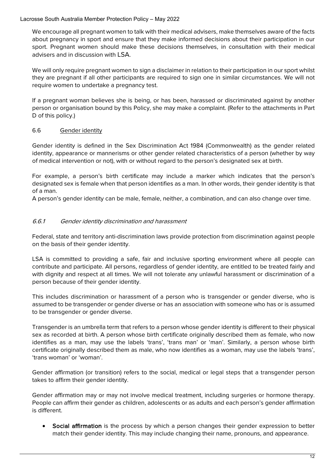We encourage all pregnant women to talk with their medical advisers, make themselves aware of the facts about pregnancy in sport and ensure that they make informed decisions about their participation in our sport. Pregnant women should make these decisions themselves, in consultation with their medical advisers and in discussion with LSA.

We will only require pregnant women to sign a disclaimer in relation to their participation in our sport whilst they are pregnant if all other participants are required to sign one in similar circumstances. We will not require women to undertake a pregnancy test.

If a pregnant woman believes she is being, or has been, harassed or discriminated against by another person or organisation bound by this Policy, she may make a complaint. (Refer to the attachments in Part D of this policy.)

#### <span id="page-11-0"></span>6.6 Gender identity

Gender identity is defined in the Sex Discrimination Act 1984 (Commonwealth) as the gender related identity, appearance or mannerisms or other gender related characteristics of a person (whether by way of medical intervention or not), with or without regard to the person's designated sex at birth.

For example, a person's birth certificate may include a marker which indicates that the person's designated sex is female when that person identifies as a man. In other words, their gender identity is that of a man.

A person's gender identity can be male, female, neither, a combination, and can also change over time.

#### 6.6.1 Gender identity discrimination and harassment

Federal, state and territory anti-discrimination laws provide protection from discrimination against people on the basis of their gender identity.

LSA is committed to providing a safe, fair and inclusive sporting environment where all people can contribute and participate. All persons, regardless of gender identity, are entitled to be treated fairly and with dignity and respect at all times. We will not tolerate any unlawful harassment or discrimination of a person because of their gender identity.

This includes discrimination or harassment of a person who is transgender or gender diverse, who is assumed to be transgender or gender diverse or has an association with someone who has or is assumed to be transgender or gender diverse.

Transgender is an umbrella term that refers to a person whose gender identity is different to their physical sex as recorded at birth. A person whose birth certificate originally described them as female, who now identifies as a man, may use the labels 'trans', 'trans man' or 'man'. Similarly, a person whose birth certificate originally described them as male, who now identifies as a woman, may use the labels 'trans', 'trans woman' or 'woman'.

Gender affirmation (or transition) refers to the social, medical or legal steps that a transgender person takes to affirm their gender identity.

Gender affirmation may or may not involve medical treatment, including surgeries or hormone therapy. People can affirm their gender as children, adolescents or as adults and each person's gender affirmation is different.

• Social affirmation is the process by which a person changes their gender expression to better match their gender identity. This may include changing their name, pronouns, and appearance.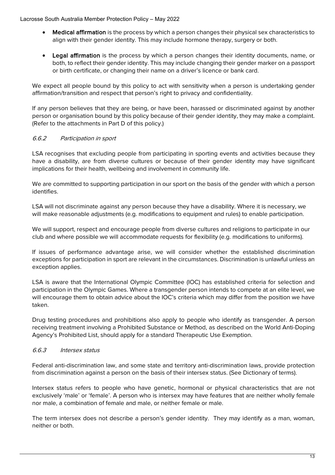- Medical affirmation is the process by which a person changes their physical sex characteristics to align with their gender identity. This may include hormone therapy, surgery or both.
- Legal affirmation is the process by which a person changes their identity documents, name, or both, to reflect their gender identity. This may include changing their gender marker on a passport or birth certificate, or changing their name on a driver's licence or bank card.

We expect all people bound by this policy to act with sensitivity when a person is undertaking gender affirmation/transition and respect that person's right to privacy and confidentiality.

If any person believes that they are being, or have been, harassed or discriminated against by another person or organisation bound by this policy because of their gender identity, they may make a complaint. (Refer to the attachments in Part D of this policy.)

# 6.6.2 Participation in sport

LSA recognises that excluding people from participating in sporting events and activities because they have a disability, are from diverse cultures or because of their gender identity may have significant implications for their health, wellbeing and involvement in community life.

We are committed to supporting participation in our sport on the basis of the gender with which a person identifies.

LSA will not discriminate against any person because they have a disability. Where it is necessary, we will make reasonable adjustments (e.g. modifications to equipment and rules) to enable participation.

We will support, respect and encourage people from diverse cultures and religions to participate in our club and where possible we will accommodate requests for flexibility (e.g. modifications to uniforms).

If issues of performance advantage arise, we will consider whether the established discrimination exceptions for participation in sport are relevant in the circumstances. Discrimination is unlawful unless an exception applies.

LSA is aware that the International Olympic Committee (IOC) has established criteria for selection and participation in the Olympic Games. Where a transgender person intends to compete at an elite level, we will encourage them to obtain advice about the IOC's criteria which may differ from the position we have taken.

Drug testing procedures and prohibitions also apply to people who identify as transgender. A person receiving treatment involving a Prohibited Substance or Method, as described on the World Anti-Doping Agency's Prohibited List, should apply for a standard Therapeutic Use Exemption.

#### 6.6.3 Intersex status

Federal anti-discrimination law, and some state and territory anti-discrimination laws, provide protection from discrimination against a person on the basis of their intersex status. (See Dictionary of terms).

Intersex status refers to people who have genetic, hormonal or physical characteristics that are not exclusively 'male' or 'female'. A person who is intersex may have features that are neither wholly female nor male, a combination of female and male, or neither female or male.

The term intersex does not describe a person's gender identity. They may identify as a man, woman, neither or both.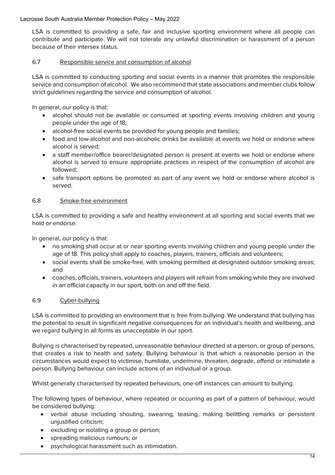LSA is committed to providing a safe, fair and inclusive sporting environment where all people can contribute and participate. We will not tolerate any unlawful discrimination or harassment of a person because of their intersex status.

# <span id="page-13-0"></span>6.7 Responsible service and consumption of alcohol

LSA is committed to conducting sporting and social events in a manner that promotes the responsible service and consumption of alcohol. We also recommend that state associations and member clubs follow strict guidelines regarding the service and consumption of alcohol.

In general, our policy is that:

- alcohol should not be available or consumed at sporting events involving children and young people under the age of 18;
- alcohol-free social events be provided for young people and families;
- food and low-alcohol and non-alcoholic drinks be available at events we hold or endorse where alcohol is served;
- a staff member/office bearer/designated person is present at events we hold or endorse where alcohol is served to ensure appropriate practices in respect of the consumption of alcohol are followed;
- safe transport options be promoted as part of any event we hold or endorse where alcohol is served.

#### <span id="page-13-1"></span>6.8 Smoke-free environment

LSA is committed to providing a safe and healthy environment at all sporting and social events that we hold or endorse.

In general, our policy is that:

- no smoking shall occur at or near sporting events involving children and young people under the age of 18. This policy shall apply to coaches, players, trainers, officials and volunteers;
- social events shall be smoke-free, with smoking permitted at designated outdoor smoking areas; and
- coaches, officials, trainers, volunteers and players will refrain from smoking while they are involved in an official capacity in our sport, both on and off the field.

#### <span id="page-13-2"></span>6.9 Cyber-bullying

LSA is committed to providing an environment that is free from bullying. We understand that bullying has the potential to result in significant negative consequences for an individual's health and wellbeing, and we regard bullying in all forms as unacceptable in our sport.

Bullying is characterised by repeated, unreasonable behaviour directed at a person, or group of persons, that creates a risk to health and safety. Bullying behaviour is that which a reasonable person in the circumstances would expect to victimise, humiliate, undermine, threaten, degrade, offend or intimidate a person. Bullying behaviour can include actions of an individual or a group.

Whilst generally characterised by repeated behaviours, one-off instances can amount to bullying.

The following types of behaviour, where repeated or occurring as part of a pattern of behaviour, would be considered bullying:

- verbal abuse including shouting, swearing, teasing, making belittling remarks or persistent unjustified criticism;
- excluding or isolating a group or person;
- spreading malicious rumours; or
- psychological harassment such as intimidation.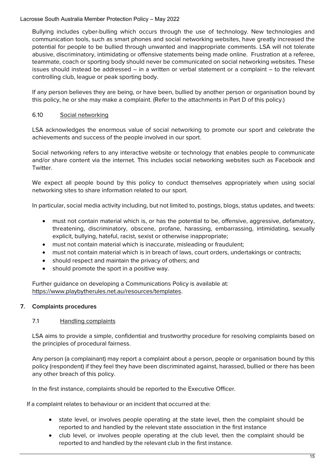Bullying includes cyber-bulling which occurs through the use of technology. New technologies and communication tools, such as smart phones and social networking websites, have greatly increased the potential for people to be bullied through unwanted and inappropriate comments. LSA will not tolerate abusive, discriminatory, intimidating or offensive statements being made online. Frustration at a referee, teammate, coach or sporting body should never be communicated on social networking websites. These issues should instead be addressed – in a written or verbal statement or a complaint – to the relevant controlling club, league or peak sporting body.

If any person believes they are being, or have been, bullied by another person or organisation bound by this policy, he or she may make a complaint. (Refer to the attachments in Part D of this policy.)

#### <span id="page-14-0"></span>6.10 Social networking

LSA acknowledges the enormous value of social networking to promote our sport and celebrate the achievements and success of the people involved in our sport.

Social networking refers to any interactive website or technology that enables people to communicate and/or share content via the internet. This includes social networking websites such as Facebook and **Twitter** 

We expect all people bound by this policy to conduct themselves appropriately when using social networking sites to share information related to our sport.

In particular, social media activity including, but not limited to, postings, blogs, status updates, and tweets:

- must not contain material which is, or has the potential to be, offensive, aggressive, defamatory, threatening, discriminatory, obscene, profane, harassing, embarrassing, intimidating, sexually explicit, bullying, hateful, racist, sexist or otherwise inappropriate;
- must not contain material which is inaccurate, misleading or fraudulent;
- must not contain material which is in breach of laws, court orders, undertakings or contracts;
- should respect and maintain the privacy of others; and
- should promote the sport in a positive way.

Further guidance on developing a Communications Policy is available at: [https://www.playbytherules.net.au/resources/templates.](https://www.playbytherules.net.au/resources/templates)

#### <span id="page-14-1"></span>**7. Complaints procedures**

#### <span id="page-14-2"></span>7.1 Handling complaints

LSA aims to provide a simple, confidential and trustworthy procedure for resolving complaints based on the principles of procedural fairness.

Any person (a complainant) may report a complaint about a person, people or organisation bound by this policy (respondent) if they feel they have been discriminated against, harassed, bullied or there has been any other breach of this policy.

In the first instance, complaints should be reported to the Executive Officer.

If a complaint relates to behaviour or an incident that occurred at the:

- state level, or involves people operating at the state level, then the complaint should be reported to and handled by the relevant state association in the first instance
- club level, or involves people operating at the club level, then the complaint should be reported to and handled by the relevant club in the first instance.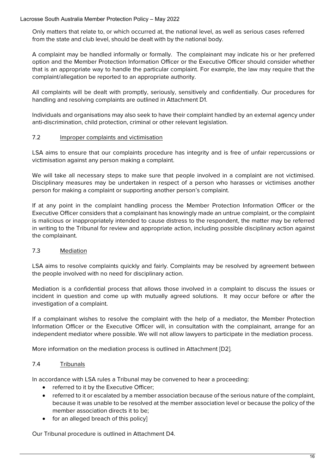Only matters that relate to, or which occurred at, the national level, as well as serious cases referred from the state and club level, should be dealt with by the national body.

A complaint may be handled informally or formally. The complainant may indicate his or her preferred option and the Member Protection Information Officer or the Executive Officer should consider whether that is an appropriate way to handle the particular complaint. For example, the law may require that the complaint/allegation be reported to an appropriate authority.

All complaints will be dealt with promptly, seriously, sensitively and confidentially. Our procedures for handling and resolving complaints are outlined in Attachment D1.

Individuals and organisations may also seek to have their complaint handled by an external agency under anti-discrimination, child protection, criminal or other relevant legislation.

#### <span id="page-15-0"></span>7.2 Improper complaints and victimisation

LSA aims to ensure that our complaints procedure has integrity and is free of unfair repercussions or victimisation against any person making a complaint.

We will take all necessary steps to make sure that people involved in a complaint are not victimised. Disciplinary measures may be undertaken in respect of a person who harasses or victimises another person for making a complaint or supporting another person's complaint.

If at any point in the complaint handling process the Member Protection Information Officer or the Executive Officer considers that a complainant has knowingly made an untrue complaint, or the complaint is malicious or inappropriately intended to cause distress to the respondent, the matter may be referred in writing to the Tribunal for review and appropriate action, including possible disciplinary action against the complainant.

# <span id="page-15-1"></span>7.3 Mediation

LSA aims to resolve complaints quickly and fairly. Complaints may be resolved by agreement between the people involved with no need for disciplinary action.

Mediation is a confidential process that allows those involved in a complaint to discuss the issues or incident in question and come up with mutually agreed solutions. It may occur before or after the investigation of a complaint.

If a complainant wishes to resolve the complaint with the help of a mediator, the Member Protection Information Officer or the Executive Officer will, in consultation with the complainant, arrange for an independent mediator where possible. We will not allow lawyers to participate in the mediation process.

More information on the mediation process is outlined in Attachment [D2].

# <span id="page-15-2"></span>7.4 Tribunals

In accordance with LSA rules a Tribunal may be convened to hear a proceeding:

- referred to it by the Executive Officer;
- referred to it or escalated by a member association because of the serious nature of the complaint, because it was unable to be resolved at the member association level or because the policy of the member association directs it to be;
- for an alleged breach of this policy]

Our Tribunal procedure is outlined in Attachment D4.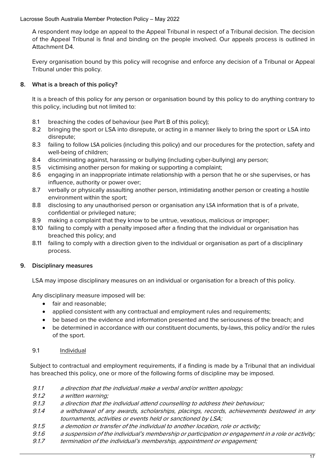A respondent may lodge an appeal to the Appeal Tribunal in respect of a Tribunal decision. The decision of the Appeal Tribunal is final and binding on the people involved. Our appeals process is outlined in Attachment D4.

Every organisation bound by this policy will recognise and enforce any decision of a Tribunal or Appeal Tribunal under this policy.

# <span id="page-16-0"></span>**8. What is a breach of this policy?**

It is a breach of this policy for any person or organisation bound by this policy to do anything contrary to this policy, including but not limited to:

- 8.1 breaching the codes of behaviour (see Part B of this policy);
- 8.2 bringing the sport or LSA into disrepute, or acting in a manner likely to bring the sport or LSA into disrepute;
- 8.3 failing to follow LSA policies (including this policy) and our procedures for the protection, safety and well-being of children;
- 8.4 discriminating against, harassing or bullying (including cyber-bullying) any person;
- 8.5 victimising another person for making or supporting a complaint;
- 8.6 engaging in an inappropriate intimate relationship with a person that he or she supervises, or has influence, authority or power over;
- 8.7 verbally or physically assaulting another person, intimidating another person or creating a hostile environment within the sport;
- 8.8 disclosing to any unauthorised person or organisation any LSA information that is of a private, confidential or privileged nature;
- 8.9 making a complaint that they know to be untrue, vexatious, malicious or improper;
- 8.10 failing to comply with a penalty imposed after a finding that the individual or organisation has breached this policy; and
- 8.11 failing to comply with a direction given to the individual or organisation as part of a disciplinary process.

#### <span id="page-16-1"></span>**9. Disciplinary measures**

LSA may impose disciplinary measures on an individual or organisation for a breach of this policy.

Any disciplinary measure imposed will be:

- fair and reasonable;
- applied consistent with any contractual and employment rules and requirements;
- be based on the evidence and information presented and the seriousness of the breach; and
- be determined in accordance with our constituent documents, by-laws, this policy and/or the rules of the sport.

# <span id="page-16-2"></span>9.1 Individual

Subject to contractual and employment requirements, if a finding is made by a Tribunal that an individual has breached this policy, one or more of the following forms of discipline may be imposed.

- 9.1.1 a direction that the individual make a verbal and/or written apology;
- 9.1.2 a written warning;
- 9.1.3 a direction that the individual attend counselling to address their behaviour;
- 9.1.4 a withdrawal of any awards, scholarships, placings, records, achievements bestowed in any tournaments, activities or events held or sanctioned by LSA;
- 9.1.5 a demotion or transfer of the individual to another location, role or activity;
- 9.1.6 a suspension of the individual's membership or participation or engagement in a role or activity;
- 9.1.7 termination of the individual's membership, appointment or engagement;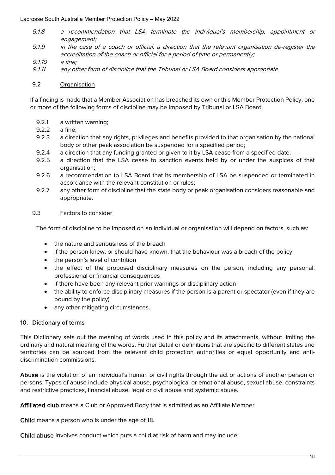- 9.1.8 a recommendation that LSA terminate the individual's membership, appointment or engagement;
- 9.1.9 in the case of a coach or official, a direction that the relevant organisation de-register the accreditation of the coach or official for a period of time or permanently;
- 9.1.10 a fine;
- 9.1.11 any other form of discipline that the Tribunal or LSA Board considers appropriate.
- <span id="page-17-0"></span>9.2 Organisation

If a finding is made that a Member Association has breached its own or this Member Protection Policy, one or more of the following forms of discipline may be imposed by Tribunal or LSA Board.

- 9.2.1 a written warning;
- 9.2.2 a fine;
- 9.2.3 a direction that any rights, privileges and benefits provided to that organisation by the national body or other peak association be suspended for a specified period;
- 9.2.4 a direction that any funding granted or given to it by LSA cease from a specified date;
- 9.2.5 a direction that the LSA cease to sanction events held by or under the auspices of that organisation;
- 9.2.6 a recommendation to LSA Board that its membership of LSA be suspended or terminated in accordance with the relevant constitution or rules;
- 9.2.7 any other form of discipline that the state body or peak organisation considers reasonable and appropriate.

#### <span id="page-17-1"></span>9.3 Factors to consider

The form of discipline to be imposed on an individual or organisation will depend on factors, such as:

- the nature and seriousness of the breach
- if the person knew, or should have known, that the behaviour was a breach of the policy
- the person's level of contrition
- the effect of the proposed disciplinary measures on the person, including any personal, professional or financial consequences
- if there have been any relevant prior warnings or disciplinary action
- the ability to enforce disciplinary measures if the person is a parent or spectator (even if they are bound by the policy)
- any other mitigating circumstances.

#### <span id="page-17-2"></span>**10. Dictionary of terms**

This Dictionary sets out the meaning of words used in this policy and its attachments, without limiting the ordinary and natural meaning of the words. Further detail or definitions that are specific to different states and territories can be sourced from the relevant child protection authorities or equal opportunity and antidiscrimination commissions.

Abuse is the violation of an individual's human or civil rights through the act or actions of another person or persons. Types of abuse include physical abuse, psychological or emotional abuse, sexual abuse, constraints and restrictive practices, financial abuse, legal or civil abuse and systemic abuse.

Affiliated club means a Club or Approved Body that is admitted as an Affiliate Member

Child means a person who is under the age of 18.

Child abuse involves conduct which puts a child at risk of harm and may include: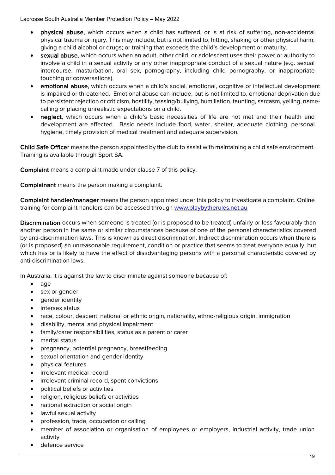- physical abuse, which occurs when a child has suffered, or is at risk of suffering, non-accidental physical trauma or injury. This may include, but is not limited to, hitting, shaking or other physical harm; giving a child alcohol or drugs; or training that exceeds the child's development or maturity.
- sexual abuse, which occurs when an adult, other child, or adolescent uses their power or authority to involve a child in a sexual activity or any other inappropriate conduct of a sexual nature (e.g. sexual intercourse, masturbation, oral sex, pornography, including child pornography, or inappropriate touching or conversations).
- emotional abuse, which occurs when a child's social, emotional, cognitive or intellectual development is impaired or threatened. Emotional abuse can include, but is not limited to, emotional deprivation due to persistent rejection or criticism, hostility, teasing/bullying, humiliation, taunting, sarcasm, yelling, namecalling or placing unrealistic expectations on a child.
- neglect, which occurs when a child's basic necessities of life are not met and their health and development are affected. Basic needs include food, water, shelter, adequate clothing, personal hygiene, timely provision of medical treatment and adequate supervision.

Child Safe Officer means the person appointed by the club to assist with maintaining a child safe environment. Training is available through Sport SA.

Complaint means a complaint made under clause 7 of this policy.

Complainant means the person making a complaint.

Complaint handler/manager means the person appointed under this policy to investigate a complaint. Online training for complaint handlers can be accessed through www.playbytherules.net.au

Discrimination occurs when someone is treated (or is proposed to be treated) unfairly or less favourably than another person in the same or similar circumstances because of one of the personal characteristics covered by anti-discrimination laws. This is known as direct discrimination. Indirect discrimination occurs when there is (or is proposed) an unreasonable requirement, condition or practice that seems to treat everyone equally, but which has or is likely to have the effect of disadvantaging persons with a personal characteristic covered by anti-discrimination laws.

In Australia, it is against the law to discriminate against someone because of:

- age
- sex or gender
- gender identity
- intersex status
- race, colour, descent, national or ethnic origin, nationality, ethno-religious origin, immigration
- disability, mental and physical impairment
- family/carer responsibilities, status as a parent or carer
- marital status
- pregnancy, potential pregnancy, breastfeeding
- sexual orientation and gender identity
- physical features
- irrelevant medical record
- irrelevant criminal record, spent convictions
- political beliefs or activities
- religion, religious beliefs or activities
- national extraction or social origin
- lawful sexual activity
- profession, trade, occupation or calling
- member of association or organisation of employees or employers, industrial activity, trade union activity
- defence service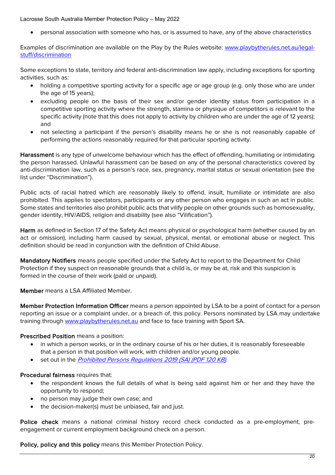• personal association with someone who has, or is assumed to have, any of the above characteristics

Examples of discrimination are available on the Play by the Rules website: [www.playbytherules.net.au/legal](http://www.playbytherules.net.au/legal-stuff/discrimination)[stuff/discrimination](http://www.playbytherules.net.au/legal-stuff/discrimination)

Some exceptions to state, territory and federal anti-discrimination law apply, including exceptions for sporting activities, such as:

- holding a competitive sporting activity for a specific age or age group (e.g. only those who are under the age of 15 years);
- excluding people on the basis of their sex and/or gender identity status from participation in a competitive sporting activity where the strength, stamina or physique of competitors is relevant to the specific activity (note that this does not apply to activity by children who are under the age of 12 years); and
- not selecting a participant if the person's disability means he or she is not reasonably capable of performing the actions reasonably required for that particular sporting activity.

Harassment is any type of unwelcome behaviour which has the effect of offending, humiliating or intimidating the person harassed. Unlawful harassment can be based on any of the personal characteristics covered by anti-discrimination law, such as a person's race, sex, pregnancy, marital status or sexual orientation (see the list under "Discrimination").

Public acts of racial hatred which are reasonably likely to offend, insult, humiliate or intimidate are also prohibited. This applies to spectators, participants or any other person who engages in such an act in public. Some states and territories also prohibit public acts that vilify people on other grounds such as homosexuality, gender identity, HIV/AIDS, religion and disability (see also "Vilification").

Harm as defined in Section 17 of the Safety Act means physical or psychological harm (whether caused by an act or omission), including harm caused by sexual, physical, mental, or emotional abuse or neglect. This definition should be read in conjunction with the definition of Child Abuse.

Mandatory Notifiers means people specified under the Safety Act to report to the Department for Child Protection if they suspect on reasonable grounds that a child is, or may be at, risk and this suspicion is formed in the course of their work (paid or unpaid).

Member means a LSA Affiliated Member.

Member Protection Information Officer means a person appointed by LSA to be a point of contact for a person reporting an issue or a complaint under, or a breach of, this policy. Persons nominated by LSA may undertake training through [www.playbytherules.net.au](http://www.playbytherules.net.au/) and face to face training with Sport SA.

# Prescribed Position means a position:

- in which a person works, or in the ordinary course of his or her duties, it is reasonably foreseeable that a person in that position will work, with children and/or young people.
- set out in the *[Prohibited Persons](https://www.legislation.sa.gov.au/LZ/C/R/CHILD%20SAFETY%20(PROHIBITED%20PERSONS)%20REGULATIONS%202019/CURRENT/2019.5.AUTH.PDF) Regulations 2019 (SA) (PDF 120 KB)*.

#### Procedural fairness requires that:

- the respondent knows the full details of what is being said against him or her and they have the opportunity to respond;
- no person may judge their own case; and
- the decision-maker(s) must be unbiased, fair and just.

Police check means a national criminal history record check conducted as a pre-employment, preengagement or current employment background check on a person.

Policy, policy and this policy means this Member Protection Policy.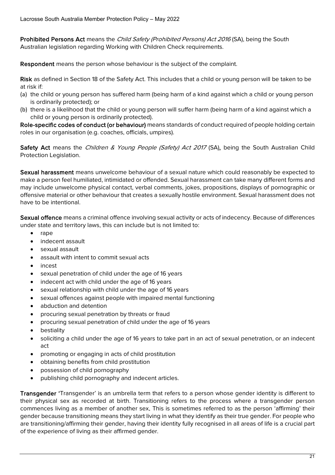Prohibited Persons Act means the Child Safety (Prohibited Persons) Act 2016 (SA), being the South Australian legislation regarding Working with Children Check requirements.

Respondent means the person whose behaviour is the subject of the complaint.

Risk as defined in Section 18 of the Safety Act. This includes that a child or young person will be taken to be at risk if:

- (a) the child or young person has suffered harm (being harm of a kind against which a child or young person is ordinarily protected); or
- (b) there is a likelihood that the child or young person will suffer harm (being harm of a kind against which a child or young person is ordinarily protected).

Role-specific codes of conduct (or behaviour) means standards of conduct required of people holding certain roles in our organisation (e.g. coaches, officials, umpires).

Safety Act means the Children & Young People (Safety) Act 2017 (SA), being the South Australian Child Protection Legislation.

Sexual harassment means unwelcome behaviour of a sexual nature which could reasonably be expected to make a person feel humiliated, intimidated or offended. Sexual harassment can take many different forms and may include unwelcome physical contact, verbal comments, jokes, propositions, displays of pornographic or offensive material or other behaviour that creates a sexually hostile environment. Sexual harassment does not have to be intentional.

Sexual offence means a criminal offence involving sexual activity or acts of indecency. Because of differences under state and territory laws, this can include but is not limited to:

- $\bullet$  rape
- indecent assault
- sexual assault
- assault with intent to commit sexual acts
- incest
- sexual penetration of child under the age of 16 years
- indecent act with child under the age of 16 years
- sexual relationship with child under the age of 16 years
- sexual offences against people with impaired mental functioning
- abduction and detention
- procuring sexual penetration by threats or fraud
- procuring sexual penetration of child under the age of 16 years
- bestiality
- soliciting a child under the age of 16 years to take part in an act of sexual penetration, or an indecent act
- promoting or engaging in acts of child prostitution
- obtaining benefits from child prostitution
- possession of child pornography
- publishing child pornography and indecent articles.

Transgender 'Transgender' is an umbrella term that refers to a person whose gender identity is different to their physical sex as recorded at birth. Transitioning refers to the process where a transgender person commences living as a member of another sex. This is sometimes referred to as the person 'affirming' their gender because transitioning means they start living in what they identify as their true gender. For people who are transitioning/affirming their gender, having their identity fully recognised in all areas of life is a crucial part of the experience of living as their affirmed gender.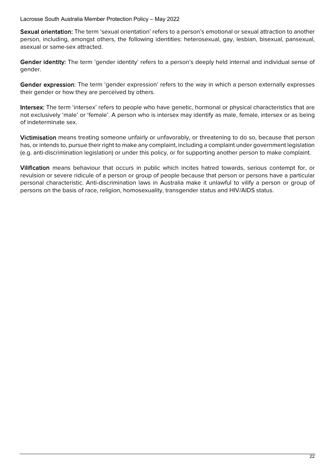Sexual orientation: The term 'sexual orientation' refers to a person's emotional or sexual attraction to another person, including, amongst others, the following identities: heterosexual, gay, lesbian, bisexual, pansexual, asexual or same-sex attracted.

Gender identity: The term 'gender identity' refers to a person's deeply held internal and individual sense of gender.

Gender expression: The term 'gender expression' refers to the way in which a person externally expresses their gender or how they are perceived by others.

Intersex: The term 'intersex' refers to people who have genetic, hormonal or physical characteristics that are not exclusively 'male' or 'female'. A person who is intersex may identify as male, female, intersex or as being of indeterminate sex.

Victimisation means treating someone unfairly or unfavorably, or threatening to do so, because that person has, or intends to, pursue their right to make any complaint, including a complaint under government legislation (e.g. anti-discrimination legislation) or under this policy, or for supporting another person to make complaint.

Vilification means behaviour that occurs in public which incites hatred towards, serious contempt for, or revulsion or severe ridicule of a person or group of people because that person or persons have a particular personal characteristic. Anti-discrimination laws in Australia make it unlawful to vilify a person or group of persons on the basis of race, religion, homosexuality, transgender status and HIV/AIDS status.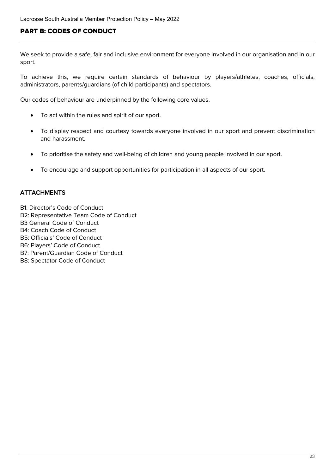# <span id="page-22-0"></span>PART B: CODES OF CONDUCT

We seek to provide a safe, fair and inclusive environment for everyone involved in our organisation and in our sport.

To achieve this, we require certain standards of behaviour by players/athletes, coaches, officials, administrators, parents/guardians (of child participants) and spectators.

Our codes of behaviour are underpinned by the following core values.

- To act within the rules and spirit of our sport.
- To display respect and courtesy towards everyone involved in our sport and prevent discrimination and harassment.
- To prioritise the safety and well-being of children and young people involved in our sport.
- To encourage and support opportunities for participation in all aspects of our sport.

# **ATTACHMENTS**

- B1: Director's Code of Conduct
- B2: Representative Team Code of Conduct
- B3 General Code of Conduct
- B4: Coach Code of Conduct
- B5: Officials' Code of Conduct
- B6: Players' Code of Conduct
- B7: Parent/Guardian Code of Conduct
- B8: Spectator Code of Conduct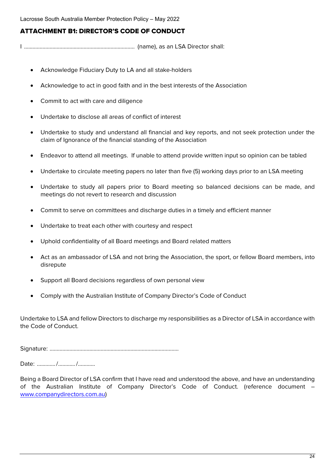# <span id="page-23-0"></span>ATTACHMENT B1: DIRECTOR'S CODE OF CONDUCT

I .............................................................................. (name), as an LSA Director shall:

- Acknowledge Fiduciary Duty to LA and all stake-holders
- Acknowledge to act in good faith and in the best interests of the Association
- Commit to act with care and diligence
- Undertake to disclose all areas of conflict of interest
- Undertake to study and understand all financial and key reports, and not seek protection under the claim of Ignorance of the financial standing of the Association
- Endeavor to attend all meetings. If unable to attend provide written input so opinion can be tabled
- Undertake to circulate meeting papers no later than five (5) working days prior to an LSA meeting
- Undertake to study all papers prior to Board meeting so balanced decisions can be made, and meetings do not revert to research and discussion
- Commit to serve on committees and discharge duties in a timely and efficient manner
- Undertake to treat each other with courtesy and respect
- Uphold confidentiality of all Board meetings and Board related matters
- Act as an ambassador of LSA and not bring the Association, the sport, or fellow Board members, into disrepute
- Support all Board decisions regardless of own personal view
- Comply with the Australian Institute of Company Director's Code of Conduct

Undertake to LSA and fellow Directors to discharge my responsibilities as a Director of LSA in accordance with the Code of Conduct.

Signature: ...........................................................................................

Date: ............. / ............ / ............

Being a Board Director of LSA confirm that I have read and understood the above, and have an understanding of the Australian Institute of Company Director's Code of Conduct. (reference document – [www.companydirectors.com.au\)](http://www.companydirectors.com.au/)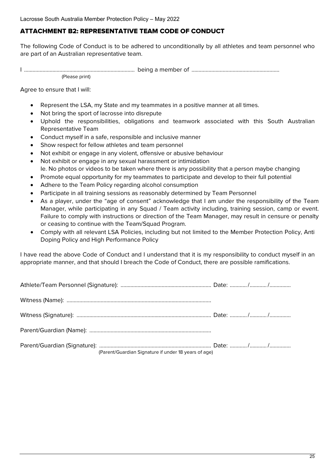# <span id="page-24-0"></span>ATTACHMENT B2: REPRESENTATIVE TEAM CODE OF CONDUCT

The following Code of Conduct is to be adhered to unconditionally by all athletes and team personnel who are part of an Australian representative team.

I .............................................................................. being a member of .............................................................. (Please print)

Agree to ensure that I will:

- Represent the LSA, my State and my teammates in a positive manner at all times.
- Not bring the sport of lacrosse into disrepute
- Uphold the responsibilities, obligations and teamwork associated with this South Australian Representative Team
- Conduct myself in a safe, responsible and inclusive manner
- Show respect for fellow athletes and team personnel
- Not exhibit or engage in any violent, offensive or abusive behaviour
- Not exhibit or engage in any sexual harassment or intimidation Ie. No photos or videos to be taken where there is any possibility that a person maybe changing
- Promote equal opportunity for my teammates to participate and develop to their full potential
- Adhere to the Team Policy regarding alcohol consumption
- Participate in all training sessions as reasonably determined by Team Personnel
- As a player, under the "age of consent" acknowledge that I am under the responsibility of the Team Manager, while participating in any Squad / Team activity including, training session, camp or event. Failure to comply with instructions or direction of the Team Manager, may result in censure or penalty or ceasing to continue with the Team/Squad Program.
- Comply with all relevant LSA Policies, including but not limited to the Member Protection Policy, Anti Doping Policy and High Performance Policy

I have read the above Code of Conduct and I understand that it is my responsibility to conduct myself in an appropriate manner, and that should I breach the Code of Conduct, there are possible ramifications.

| (Parent/Guardian Signature if under 18 years of age) |  |  |
|------------------------------------------------------|--|--|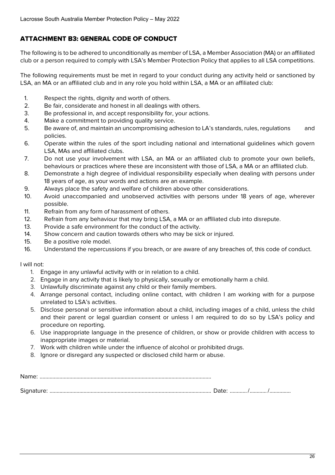# <span id="page-25-0"></span>ATTACHMENT B3: GENERAL CODE OF CONDUCT

The following is to be adhered to unconditionally as member of LSA, a Member Association (MA) or an affiliated club or a person required to comply with LSA's Member Protection Policy that applies to all LSA competitions.

The following requirements must be met in regard to your conduct during any activity held or sanctioned by LSA, an MA or an affiliated club and in any role you hold within LSA, a MA or an affiliated club:

- 1. Respect the rights, dignity and worth of others.
- 2. Be fair, considerate and honest in all dealings with others.
- 3. Be professional in, and accept responsibility for, your actions.
- 4. Make a commitment to providing quality service.
- 5. Be aware of, and maintain an uncompromising adhesion to LA's standards, rules, regulations and policies.
- 6. Operate within the rules of the sport including national and international guidelines which govern LSA, MAs and affiliated clubs.
- 7. Do not use your involvement with LSA, an MA or an affiliated club to promote your own beliefs, behaviours or practices where these are inconsistent with those of LSA, a MA or an affiliated club.
- 8. Demonstrate a high degree of individual responsibility especially when dealing with persons under 18 years of age, as your words and actions are an example.
- 9. Always place the safety and welfare of children above other considerations.
- 10. Avoid unaccompanied and unobserved activities with persons under 18 years of age, wherever possible.
- 11. Refrain from any form of harassment of others.
- 12. Refrain from any behaviour that may bring LSA, a MA or an affiliated club into disrepute.
- 13. Provide a safe environment for the conduct of the activity.
- 14. Show concern and caution towards others who may be sick or injured.
- 15. Be a positive role model.
- 16. Understand the repercussions if you breach, or are aware of any breaches of, this code of conduct.

#### I will not:

- 1. Engage in any unlawful activity with or in relation to a child.
- 2. Engage in any activity that is likely to physically, sexually or emotionally harm a child.
- 3. Unlawfully discriminate against any child or their family members.
- 4. Arrange personal contact, including online contact, with children I am working with for a purpose unrelated to LSA's activities.
- 5. Disclose personal or sensitive information about a child, including images of a child, unless the child and their parent or legal guardian consent or unless I am required to do so by LSA's policy and procedure on reporting.
- 6. Use inappropriate language in the presence of children, or show or provide children with access to inappropriate images or material.
- 7. Work with children while under the influence of alcohol or prohibited drugs.
- 8. Ignore or disregard any suspected or disclosed child harm or abuse.

Name: .........................................................................................................................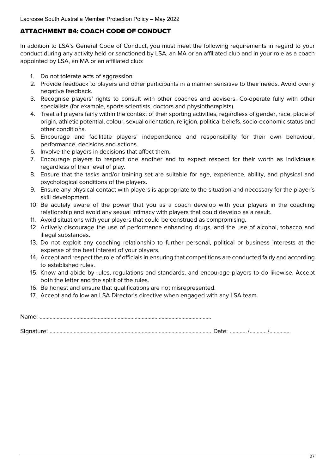# <span id="page-26-0"></span>ATTACHMENT B4: COACH CODE OF CONDUCT

In addition to LSA's General Code of Conduct, you must meet the following requirements in regard to your conduct during any activity held or sanctioned by LSA, an MA or an affiliated club and in your role as a coach appointed by LSA, an MA or an affiliated club:

- 1. Do not tolerate acts of aggression.
- 2. Provide feedback to players and other participants in a manner sensitive to their needs. Avoid overly negative feedback.
- 3. Recognise players' rights to consult with other coaches and advisers. Co-operate fully with other specialists (for example, sports scientists, doctors and physiotherapists).
- 4. Treat all players fairly within the context of their sporting activities, regardless of gender, race, place of origin, athletic potential, colour, sexual orientation, religion, political beliefs, socio-economic status and other conditions.
- 5. Encourage and facilitate players' independence and responsibility for their own behaviour, performance, decisions and actions.
- 6. Involve the players in decisions that affect them.
- 7. Encourage players to respect one another and to expect respect for their worth as individuals regardless of their level of play.
- 8. Ensure that the tasks and/or training set are suitable for age, experience, ability, and physical and psychological conditions of the players.
- 9. Ensure any physical contact with players is appropriate to the situation and necessary for the player's skill development.
- 10. Be acutely aware of the power that you as a coach develop with your players in the coaching relationship and avoid any sexual intimacy with players that could develop as a result.
- 11. Avoid situations with your players that could be construed as compromising.
- 12. Actively discourage the use of performance enhancing drugs, and the use of alcohol, tobacco and illegal substances.
- 13. Do not exploit any coaching relationship to further personal, political or business interests at the expense of the best interest of your players.
- 14. Accept and respect the role of officials in ensuring that competitions are conducted fairly and according to established rules.
- 15. Know and abide by rules, regulations and standards, and encourage players to do likewise. Accept both the letter and the spirit of the rules.
- 16. Be honest and ensure that qualifications are not misrepresented.
- 17. Accept and follow an LSA Director's directive when engaged with any LSA team.

Name: .........................................................................................................................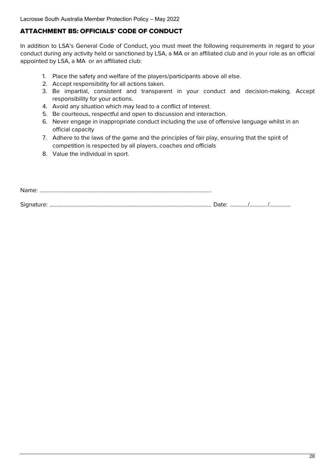# <span id="page-27-0"></span>ATTACHMENT B5: OFFICIALS' CODE OF CONDUCT

In addition to LSA's General Code of Conduct, you must meet the following requirements in regard to your conduct during any activity held or sanctioned by LSA, a MA or an affiliated club and in your role as an official appointed by LSA, a MA or an affiliated club:

- 1. Place the safety and welfare of the players/participants above all else.
- 2. Accept responsibility for all actions taken.
- 3. Be impartial, consistent and transparent in your conduct and decision-making. Accept responsibility for your actions.
- 4. Avoid any situation which may lead to a conflict of interest.
- 5. Be courteous, respectful and open to discussion and interaction.
- 6. Never engage in inappropriate conduct including the use of offensive language whilst in an official capacity
- 7. Adhere to the laws of the game and the principles of fair play, ensuring that the spirit of competition is respected by all players, coaches and officials
- 8. Value the individual in sport.

| Name:      |  |  |
|------------|--|--|
| Signature: |  |  |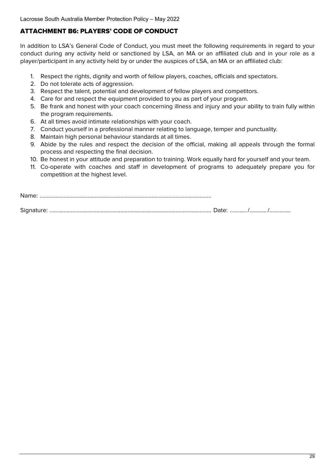# <span id="page-28-0"></span>ATTACHMENT B6: PLAYERS' CODE OF CONDUCT

In addition to LSA's General Code of Conduct, you must meet the following requirements in regard to your conduct during any activity held or sanctioned by LSA, an MA or an affiliated club and in your role as a player/participant in any activity held by or under the auspices of LSA, an MA or an affiliated club:

- 1. Respect the rights, dignity and worth of fellow players, coaches, officials and spectators.
- 2. Do not tolerate acts of aggression.
- 3. Respect the talent, potential and development of fellow players and competitors.
- 4. Care for and respect the equipment provided to you as part of your program.
- 5. Be frank and honest with your coach concerning illness and injury and your ability to train fully within the program requirements.
- 6. At all times avoid intimate relationships with your coach.
- 7. Conduct yourself in a professional manner relating to language, temper and punctuality.
- 8. Maintain high personal behaviour standards at all times.
- 9. Abide by the rules and respect the decision of the official, making all appeals through the formal process and respecting the final decision.
- 10. Be honest in your attitude and preparation to training. Work equally hard for yourself and your team.
- 11. Co-operate with coaches and staff in development of programs to adequately prepare you for competition at the highest level.

Name: .........................................................................................................................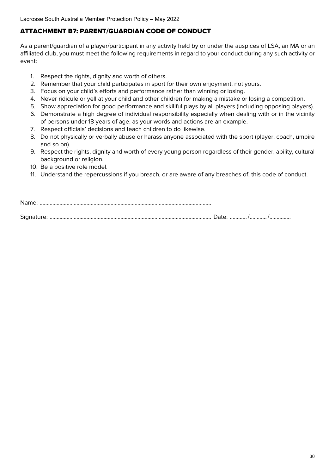# <span id="page-29-0"></span>ATTACHMENT B7: PARENT/GUARDIAN CODE OF CONDUCT

As a parent/guardian of a player/participant in any activity held by or under the auspices of LSA, an MA or an affiliated club, you must meet the following requirements in regard to your conduct during any such activity or event:

- 1. Respect the rights, dignity and worth of others.
- 2. Remember that your child participates in sport for their own enjoyment, not yours.
- 3. Focus on your child's efforts and performance rather than winning or losing.
- 4. Never ridicule or yell at your child and other children for making a mistake or losing a competition.
- 5. Show appreciation for good performance and skillful plays by all players (including opposing players).
- 6. Demonstrate a high degree of individual responsibility especially when dealing with or in the vicinity of persons under 18 years of age, as your words and actions are an example.
- 7. Respect officials' decisions and teach children to do likewise.
- 8. Do not physically or verbally abuse or harass anyone associated with the sport (player, coach, umpire and so on).
- 9. Respect the rights, dignity and worth of every young person regardless of their gender, ability, cultural background or religion.
- 10. Be a positive role model.
- 11. Understand the repercussions if you breach, or are aware of any breaches of, this code of conduct.

Name: .........................................................................................................................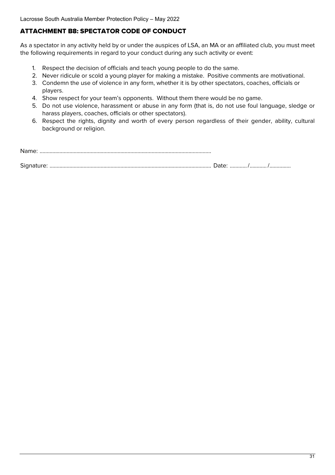# <span id="page-30-0"></span>ATTACHMENT B8: SPECTATOR CODE OF CONDUCT

As a spectator in any activity held by or under the auspices of LSA, an MA or an affiliated club, you must meet the following requirements in regard to your conduct during any such activity or event:

- 1. Respect the decision of officials and teach young people to do the same.
- 2. Never ridicule or scold a young player for making a mistake. Positive comments are motivational.
- 3. Condemn the use of violence in any form, whether it is by other spectators, coaches, officials or players.
- 4. Show respect for your team's opponents. Without them there would be no game.
- 5. Do not use violence, harassment or abuse in any form (that is, do not use foul language, sledge or harass players, coaches, officials or other spectators).
- 6. Respect the rights, dignity and worth of every person regardless of their gender, ability, cultural background or religion.

Name: .........................................................................................................................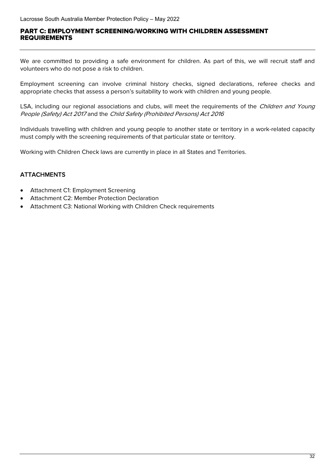#### <span id="page-31-0"></span>PART C: EMPLOYMENT SCREENING/WORKING WITH CHILDREN ASSESSMENT REQUIREMENTS

We are committed to providing a safe environment for children. As part of this, we will recruit staff and volunteers who do not pose a risk to children.

Employment screening can involve criminal history checks, signed declarations, referee checks and appropriate checks that assess a person's suitability to work with children and young people.

LSA, including our regional associations and clubs, will meet the requirements of the Children and Young People (Safety) Act 2017 and the Child Safety (Prohibited Persons) Act 2016

Individuals travelling with children and young people to another state or territory in a work-related capacity must comply with the screening requirements of that particular state or territory.

Working with Children Check laws are currently in place in all States and Territories.

# **ATTACHMENTS**

- Attachment C1: Employment Screening
- Attachment C2: Member Protection Declaration
- Attachment C3: National Working with Children Check requirements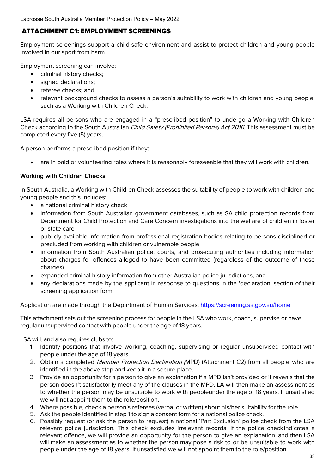# <span id="page-32-0"></span>ATTACHMENT C1: EMPLOYMENT SCREENINGS

Employment screenings support a child-safe environment and assist to protect children and young people involved in our sport from harm.

Employment screening can involve:

- criminal history checks;
- signed declarations;
- referee checks; and
- relevant background checks to assess a person's suitability to work with children and young people, such as a Working with Children Check.

LSA requires all persons who are engaged in a "prescribed position" to undergo a Working with Children Check according to the South Australian Child Safety (Prohibited Persons) Act 2016. This assessment must be completed every five (5) years.

A person performs a prescribed position if they:

• are in paid or volunteering roles where it is reasonably foreseeable that they will work with children.

# Working with Children Checks

In South Australia, a Working with Children Check assesses the suitability of people to work with children and young people and this includes:

- a national criminal history check
- information from South Australian government databases, such as SA child protection records from Department for Child Protection and Care Concern investigations into the welfare of children in foster or state care
- publicly available information from professional registration bodies relating to persons disciplined or precluded from working with children or vulnerable people
- information from South Australian police, courts, and prosecuting authorities including information about charges for offences alleged to have been committed (regardless of the outcome of those charges)
- expanded criminal history information from other Australian police jurisdictions, and
- any declarations made by the applicant in response to questions in the 'declaration' section of their screening application form.

Application are made through the Department of Human Services:<https://screening.sa.gov.au/home>

This attachment sets out the screening process for people in the LSA who work, coach, supervise or have regular unsupervised contact with people under the age of 18 years.

LSA will, and also requires clubs to:

- 1. Identify positions that involve working, coaching, supervising or regular unsupervised contact with people under the age of 18 years.
- 2. Obtain a completed *Member Protection Declaration* (MPD) (Attachment C2) from all people who are identified in the above step and keep it in a secure place.
- 3. Provide an opportunity for a person to give an explanation if a MPD isn't provided or it reveals that the person doesn't satisfactorily meet any of the clauses in the MPD. LA will then make an assessment as to whether the person may be unsuitable to work with peopleunder the age of 18 years. If unsatisfied we will not appoint them to the role/position.
- 4. Where possible, check a person's referees (verbal or written) about his/her suitability for the role.
- 5. Ask the people identified in step 1 to sign a consent form for a national police check.
- 6. Possibly request (or ask the person to request) a national 'Part Exclusion' police check from the LSA relevant police jurisdiction. This check excludes irrelevant records. If the police checkindicates a relevant offence, we will provide an opportunity for the person to give an explanation, and then LSA will make an assessment as to whether the person may pose a risk to or be unsuitable to work with people under the age of 18 years. If unsatisfied we will not appoint them to the role/position.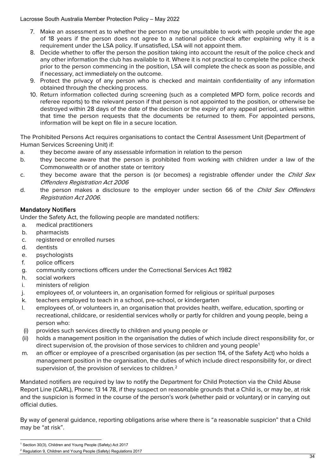- 7. Make an assessment as to whether the person may be unsuitable to work with people under the age of 18 years if the person does not agree to a national police check after explaining why it is a requirement under the LSA policy. If unsatisfied, LSA will not appoint them.
- 8. Decide whether to offer the person the position taking into account the result of the police check and any other information the club has available to it. Where it is not practical to complete the police check prior to the person commencing in the position, LSA will complete the check as soon as possible, and if necessary, act immediately on the outcome.
- 9. Protect the privacy of any person who is checked and maintain confidentiality of any information obtained through the checking process.
- 10. Return information collected during screening (such as a completed MPD form, police records and referee reports) to the relevant person if that person is not appointed to the position, or otherwise be destroyed within 28 days of the date of the decision or the expiry of any appeal period, unless within that time the person requests that the documents be returned to them. For appointed persons, information will be kept on file in a secure location.

The Prohibited Persons Act requires organisations to contact the Central Assessment Unit (Department of Human Services Screening Unit) if:

- a. they become aware of any assessable information in relation to the person
- b. they become aware that the person is prohibited from working with children under a law of the Commonwealth or of another state or territory
- c. they become aware that the person is (or becomes) a registrable offender under the *Child Sex* Offenders Registration Act 2006
- d. the person makes a disclosure to the employer under section 66 of the Child Sex Offenders Registration Act 2006.

# Mandatory Notifiers

Under the Safety Act, the following people are mandated notifiers:

- a. medical practitioners
- b. pharmacists
- c. registered or enrolled nurses
- d. dentists
- e. psychologists
- f. police officers
- g. community corrections officers under the Correctional Services Act 1982
- h. social workers
- i. ministers of religion
- j. employees of, or volunteers in, an organisation formed for religious or spiritual purposes
- k. teachers employed to teach in a school, pre-school, or kindergarten
- l. employees of, or volunteers in, an organisation that provides health, welfare, education, sporting or recreational, childcare, or residential services wholly or partly for children and young people, being a person who:
- (i) provides such services directly to children and young people or
- (ii) holds a management position in the organisation the duties of which include direct responsibility for, or direct supervision of, the provision of those services to children and young people<sup>[1](#page-33-0)</sup>
- m. an officer or employee of a prescribed organisation (as per section 114, of the Safety Act) who holds a management position in the organisation, the duties of which include direct responsibility for, or direct supervision of, the provision of services to children.<sup>[2](#page-33-1)</sup>

Mandated notifiers are required by law to notify the Department for Child Protection via the Child Abuse Report Line (CARL), Phone: 13 14 78, if they suspect on reasonable grounds that a Child is, or may be, at risk and the suspicion is formed in the course of the person's work (whether paid or voluntary) or in carrying out official duties.

By way of general guidance, reporting obligations arise where there is "a reasonable suspicion" that a Child may be "at risk".

<span id="page-33-0"></span><sup>1</sup> Section 30(3), Children and Young People (Safety) Act 2017

<span id="page-33-1"></span><sup>2</sup> Regulation 9, Children and Young People (Safety) Regulations 2017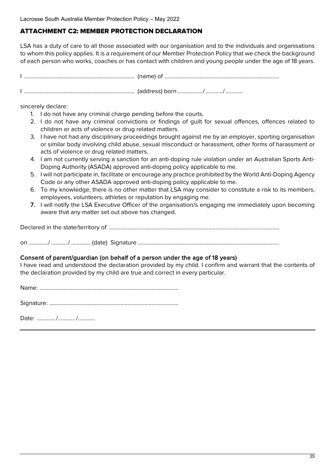# <span id="page-34-0"></span>ATTACHMENT C2: MEMBER PROTECTION DECLARATION

LSA has a duty of care to all those associated with our organisation and to the individuals and organisations to whom this policy applies. It is a requirement of our Member Protection Policy that we check the background of each person who works, coaches or has contact with children and young people under the age of 18 years.

| sincerely declare:                                                                                                                                                                                                                                           |
|--------------------------------------------------------------------------------------------------------------------------------------------------------------------------------------------------------------------------------------------------------------|
| 1. I do not have any criminal charge pending before the courts.                                                                                                                                                                                              |
| 2. I do not have any criminal convictions or findings of guilt for sexual offences, offences related to<br>children or acts of violence or drug related matters.                                                                                             |
| 3. I have not had any disciplinary proceedings brought against me by an employer, sporting organisation<br>or similar body involving child abuse, sexual misconduct or harassment, other forms of harassment or<br>acts of violence or drug related matters. |
| 4. I am not currently serving a sanction for an anti-doping rule violation under an Australian Sports Anti-<br>Doping Authority (ASADA) approved anti-doping policy applicable to me.                                                                        |
| 5. I will not participate in, facilitate or encourage any practice prohibited by the World Anti-Doping Agency<br>Code or any other ASADA approved anti-doping policy applicable to me.                                                                       |
| 6. To my knowledge, there is no other matter that LSA may consider to constitute a risk to its members,<br>employees, volunteers, athletes or reputation by engaging me.                                                                                     |
| 7. I will notify the LSA Executive Officer of the organisation/s engaging me immediately upon becoming<br>aware that any matter set out above has changed.                                                                                                   |
|                                                                                                                                                                                                                                                              |

on ............../ ............ / .............. (date) Signature ....................................................................................................

#### Consent of parent/guardian (on behalf of a person under the age of 18 years)

I have read and understood the declaration provided by my child. I confirm and warrant that the contents of the declaration provided by my child are true and correct in every particular.

Name: ..................................................................................................

Signature: ...........................................................................................

Date: ............. / ............ / ............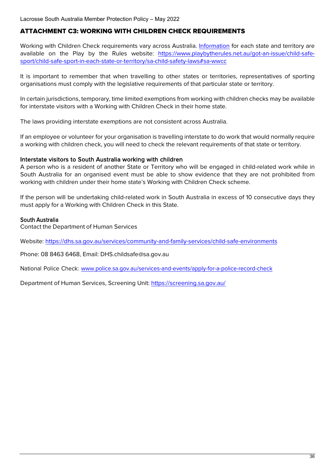# <span id="page-35-0"></span>ATTACHMENT C3: WORKING WITH CHILDREN CHECK REQUIREMENTS

Working with Children Check requirements vary across Australia. [Information](http://www.playbytherules.net.au/legal-stuff/child-protection/child-protection-laws-explained/screening) for each state and territory are available on the Play by the Rules website: [https://www.playbytherules.net.au/got-an-issue/child-safe](https://www.playbytherules.net.au/got-an-issue/child-safe-sport/child-safe-sport-in-each-state-or-territory/sa-child-safety-laws#sa-wwcc)[sport/child-safe-sport-in-each-state-or-territory/sa-child-safety-laws#sa-wwcc](https://www.playbytherules.net.au/got-an-issue/child-safe-sport/child-safe-sport-in-each-state-or-territory/sa-child-safety-laws#sa-wwcc)

It is important to remember that when travelling to other states or territories, representatives of sporting organisations must comply with the legislative requirements of that particular state or territory.

In certain jurisdictions, temporary, time limited exemptions from working with children checks may be available for interstate visitors with a Working with Children Check in their home state.

The laws providing interstate exemptions are not consistent across Australia.

If an employee or volunteer for your organisation is travelling interstate to do work that would normally require a working with children check, you will need to check the relevant requirements of that state or territory.

#### Interstate visitors to South Australia working with children

A person who is a resident of another State or Territory who will be engaged in child-related work while in South Australia for an organised event must be able to show evidence that they are not prohibited from working with children under their home state's Working with Children Check scheme.

If the person will be undertaking child-related work in South Australia in excess of 10 consecutive days they must apply for a Working with Children Check in this State.

#### South Australia

Contact the Department of Human Services

Website: <https://dhs.sa.gov.au/services/community-and-family-services/child-safe-environments>

Phone: 08 8463 6468, Email: DHS.childsafe@sa.gov.au

National Police Check: [www.police.sa.gov.au/services-and-events/apply-for-a-police-record-check](http://www.police.sa.gov.au/services-and-events/apply-for-a-police-record-check)

Department of Human Services, Screening Unit:<https://screening.sa.gov.au/>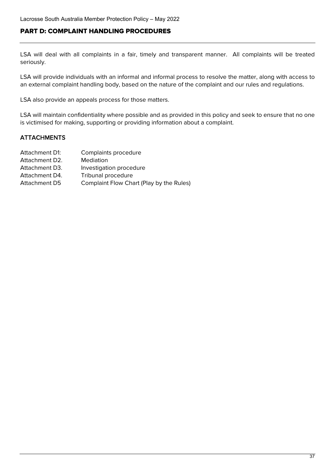# <span id="page-36-0"></span>PART D: COMPLAINT HANDLING PROCEDURES

LSA will deal with all complaints in a fair, timely and transparent manner. All complaints will be treated seriously.

LSA will provide individuals with an informal and informal process to resolve the matter, along with access to an external complaint handling body, based on the nature of the complaint and our rules and regulations.

LSA also provide an appeals process for those matters.

LSA will maintain confidentiality where possible and as provided in this policy and seek to ensure that no one is victimised for making, supporting or providing information about a complaint.

# **ATTACHMENTS**

| Attachment D1: | Complaints procedure                     |
|----------------|------------------------------------------|
| Attachment D2. | Mediation                                |
| Attachment D3. | Investigation procedure                  |
| Attachment D4. | Tribunal procedure                       |
| Attachment D5  | Complaint Flow Chart (Play by the Rules) |
|                |                                          |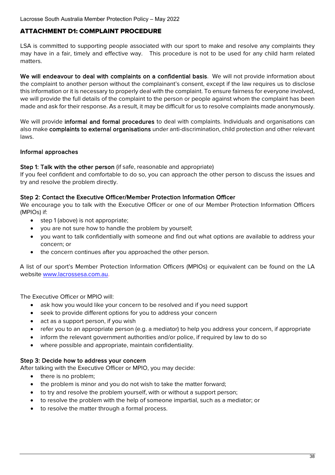# <span id="page-37-0"></span>ATTACHMENT D1: COMPLAINT PROCEDURE

LSA is committed to supporting people associated with our sport to make and resolve any complaints they may have in a fair, timely and effective way. This procedure is not to be used for any child harm related matters

We will endeavour to deal with complaints on a confidential basis. We will not provide information about the complaint to another person without the complainant's consent, except if the law requires us to disclose this information or it is necessary to properly deal with the complaint. To ensure fairness for everyone involved, we will provide the full details of the complaint to the person or people against whom the complaint has been made and ask for their response. As a result, it may be difficult for us to resolve complaints made anonymously.

We will provide **informal and formal procedures** to deal with complaints. Individuals and organisations can also make complaints to external organisations under anti-discrimination, child protection and other relevant laws.

#### Informal approaches

#### Step 1: Talk with the other person (if safe, reasonable and appropriate)

If you feel confident and comfortable to do so, you can approach the other person to discuss the issues and try and resolve the problem directly.

#### Step 2: Contact the Executive Officer/Member Protection Information Officer

We encourage you to talk with the Executive Officer or one of our Member Protection Information Officers (MPIOs) if:

- step 1 (above) is not appropriate;
- you are not sure how to handle the problem by yourself;
- you want to talk confidentially with someone and find out what options are available to address your concern; or
- the concern continues after you approached the other person.

A list of our sport's Member Protection Information Officers (MPIOs) or equivalent can be found on the LA website [www.lacrossesa.com.au](http://www.lacrossesa.com.au/).

The Executive Officer or MPIO will:

- ask how you would like your concern to be resolved and if you need support
- seek to provide different options for you to address your concern
- act as a support person, if you wish
- refer you to an appropriate person (e.g. a mediator) to help you address your concern, if appropriate
- inform the relevant government authorities and/or police, if required by law to do so
- where possible and appropriate, maintain confidentiality.

#### Step 3: Decide how to address your concern

After talking with the Executive Officer or MPIO, you may decide:

- there is no problem;
- the problem is minor and you do not wish to take the matter forward;
- to try and resolve the problem yourself, with or without a support person;
- to resolve the problem with the help of someone impartial, such as a mediator; or
- to resolve the matter through a formal process.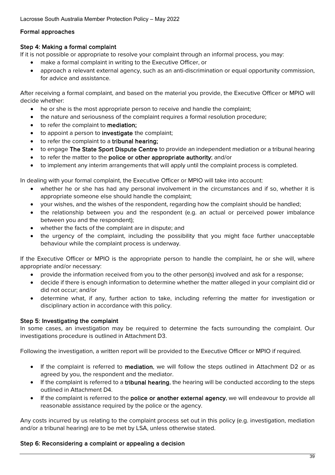# Formal approaches

# Step 4: Making a formal complaint

If it is not possible or appropriate to resolve your complaint through an informal process, you may:

- make a formal complaint in writing to the Executive Officer, or
- approach a relevant external agency, such as an anti-discrimination or equal opportunity commission, for advice and assistance.

After receiving a formal complaint, and based on the material you provide, the Executive Officer or MPIO will decide whether:

- he or she is the most appropriate person to receive and handle the complaint;
- the nature and seriousness of the complaint requires a formal resolution procedure;
- to refer the complaint to mediation;
- to appoint a person to **investigate** the complaint;
- to refer the complaint to a tribunal hearing;
- to engage The State Sport Dispute Centre to provide an independent mediation or a tribunal hearing
- to refer the matter to the police or other appropriate authority; and/or
- to implement any interim arrangements that will apply until the complaint process is completed.

In dealing with your formal complaint, the Executive Officer or MPIO will take into account:

- whether he or she has had any personal involvement in the circumstances and if so, whether it is appropriate someone else should handle the complaint;
- your wishes, and the wishes of the respondent, regarding how the complaint should be handled;
- the relationship between you and the respondent (e.g. an actual or perceived power imbalance between you and the respondent);
- whether the facts of the complaint are in dispute; and
- the urgency of the complaint, including the possibility that you might face further unacceptable behaviour while the complaint process is underway.

If the Executive Officer or MPIO is the appropriate person to handle the complaint, he or she will, where appropriate and/or necessary:

- provide the information received from you to the other person(s) involved and ask for a response;
- decide if there is enough information to determine whether the matter alleged in your complaint did or did not occur; and/or
- determine what, if any, further action to take, including referring the matter for investigation or disciplinary action in accordance with this policy.

# Step 5: Investigating the complaint

In some cases, an investigation may be required to determine the facts surrounding the complaint. Our investigations procedure is outlined in Attachment D3.

Following the investigation, a written report will be provided to the Executive Officer or MPIO if required.

- If the complaint is referred to mediation, we will follow the steps outlined in Attachment D2 or as agreed by you, the respondent and the mediator.
- If the complaint is referred to a tribunal hearing, the hearing will be conducted according to the steps outlined in Attachment D4.
- If the complaint is referred to the **police or another external agency**, we will endeavour to provide all reasonable assistance required by the police or the agency.

Any costs incurred by us relating to the complaint process set out in this policy (e.g. investigation, mediation and/or a tribunal hearing) are to be met by LSA, unless otherwise stated.

# Step 6: Reconsidering a complaint or appealing a decision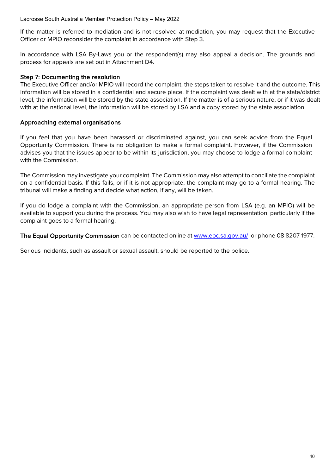If the matter is referred to mediation and is not resolved at mediation, you may request that the Executive Officer or MPIO reconsider the complaint in accordance with Step 3.

In accordance with LSA By-Laws you or the respondent(s) may also appeal a decision. The grounds and process for appeals are set out in Attachment D4.

# Step 7: Documenting the resolution

The Executive Officer and/or MPIO will record the complaint, the steps taken to resolve it and the outcome. This information will be stored in a confidential and secure place. If the complaint was dealt with at the state/district level, the information will be stored by the state association. If the matter is of a serious nature, or if it was dealt with at the national level, the information will be stored by LSA and a copy stored by the state association.

# Approaching external organisations

If you feel that you have been harassed or discriminated against, you can seek advice from the Equal Opportunity Commission. There is no obligation to make a formal complaint. However, if the Commission advises you that the issues appear to be within its jurisdiction, you may choose to lodge a formal complaint with the Commission.

The Commission may investigate your complaint. The Commission may also attempt to conciliate the complaint on a confidential basis. If this fails, or if it is not appropriate, the complaint may go to a formal hearing. The tribunal will make a finding and decide what action, if any, will be taken.

If you do lodge a complaint with the Commission, an appropriate person from LSA (e.g. an MPIO) will be available to support you during the process. You may also wish to have legal representation, particularly if the complaint goes to a formal hearing.

The Equal Opportunity Commission can be contacted online at [www.eoc.sa.gov.au/](http://www.eoc.sa.gov.au/) or phone 08 8207 1977.

Serious incidents, such as assault or sexual assault, should be reported to the police.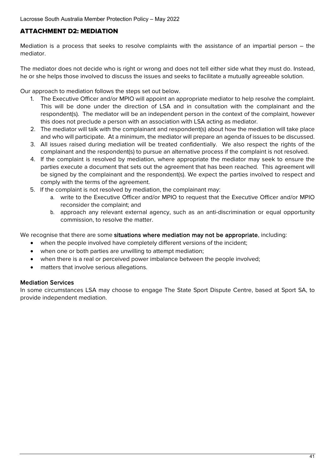# <span id="page-40-0"></span>ATTACHMENT D2: MEDIATION

Mediation is a process that seeks to resolve complaints with the assistance of an impartial person – the mediator.

The mediator does not decide who is right or wrong and does not tell either side what they must do. Instead, he or she helps those involved to discuss the issues and seeks to facilitate a mutually agreeable solution.

Our approach to mediation follows the steps set out below.

- 1. The Executive Officer and/or MPIO will appoint an appropriate mediator to help resolve the complaint. This will be done under the direction of LSA and in consultation with the complainant and the respondent(s). The mediator will be an independent person in the context of the complaint, however this does not preclude a person with an association with LSA acting as mediator.
- 2. The mediator will talk with the complainant and respondent(s) about how the mediation will take place and who will participate. At a minimum, the mediator will prepare an agenda of issues to be discussed.
- 3. All issues raised during mediation will be treated confidentially. We also respect the rights of the complainant and the respondent(s) to pursue an alternative process if the complaint is not resolved.
- 4. If the complaint is resolved by mediation, where appropriate the mediator may seek to ensure the parties execute a document that sets out the agreement that has been reached. This agreement will be signed by the complainant and the respondent(s). We expect the parties involved to respect and comply with the terms of the agreement.
- 5. If the complaint is not resolved by mediation, the complainant may:
	- a. write to the Executive Officer and/or MPIO to request that the Executive Officer and/or MPIO reconsider the complaint; and
	- b. approach any relevant external agency, such as an anti-discrimination or equal opportunity commission, to resolve the matter.

We recognise that there are some situations where mediation may not be appropriate, including:

- when the people involved have completely different versions of the incident;
- when one or both parties are unwilling to attempt mediation;
- when there is a real or perceived power imbalance between the people involved;
- matters that involve serious allegations.

#### Mediation Services

In some circumstances LSA may choose to engage The State Sport Dispute Centre, based at Sport SA, to provide independent mediation.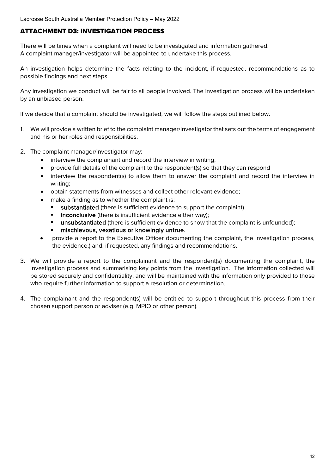# <span id="page-41-0"></span>ATTACHMENT D3: INVESTIGATION PROCESS

There will be times when a complaint will need to be investigated and information gathered. A complaint manager/investigator will be appointed to undertake this process.

An investigation helps determine the facts relating to the incident, if requested, recommendations as to possible findings and next steps.

Any investigation we conduct will be fair to all people involved. The investigation process will be undertaken by an unbiased person.

If we decide that a complaint should be investigated, we will follow the steps outlined below.

- 1. We will provide a written brief to the complaint manager/investigator that sets out the terms of engagement and his or her roles and responsibilities.
- 2. The complaint manager/investigator may:
	- interview the complainant and record the interview in writing;
	- provide full details of the complaint to the respondent(s) so that they can respond
	- interview the respondent(s) to allow them to answer the complaint and record the interview in writing;
	- obtain statements from witnesses and collect other relevant evidence;
	- make a finding as to whether the complaint is:
		- **substantiated** (there is sufficient evidence to support the complaint)
		- **inconclusive** (there is insufficient evidence either way);
		- **unsubstantiated** (there is sufficient evidence to show that the complaint is unfounded);
		- mischievous, vexatious or knowingly untrue.
	- provide a report to the Executive Officer documenting the complaint, the investigation process, the evidence,) and, if requested, any findings and recommendations.
- 3. We will provide a report to the complainant and the respondent(s) documenting the complaint, the investigation process and summarising key points from the investigation. The information collected will be stored securely and confidentiality, and will be maintained with the information only provided to those who require further information to support a resolution or determination.
- 4. The complainant and the respondent(s) will be entitled to support throughout this process from their chosen support person or adviser (e.g. MPIO or other person).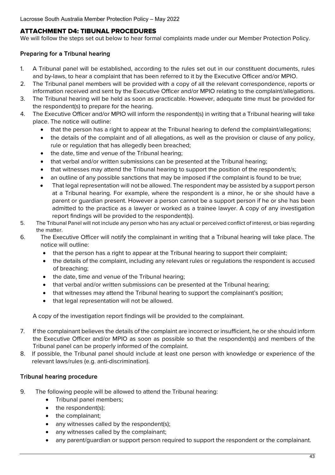# <span id="page-42-0"></span>ATTACHMENT D4: TIBUNAL PROCEDURES

We will follow the steps set out below to hear formal complaints made under our Member Protection Policy.

# Preparing for a Tribunal hearing

- 1. A Tribunal panel will be established, according to the rules set out in our constituent documents, rules and by-laws, to hear a complaint that has been referred to it by the Executive Officer and/or MPIO.
- 2. The Tribunal panel members will be provided with a copy of all the relevant correspondence, reports or information received and sent by the Executive Officer and/or MPIO relating to the complaint/allegations.
- 3. The Tribunal hearing will be held as soon as practicable. However, adequate time must be provided for the respondent(s) to prepare for the hearing.
- 4. The Executive Officer and/or MPIO will inform the respondent(s) in writing that a Tribunal hearing will take place. The notice will outline:
	- that the person has a right to appear at the Tribunal hearing to defend the complaint/allegations;
	- the details of the complaint and of all allegations, as well as the provision or clause of any policy, rule or regulation that has allegedly been breached;
	- the date, time and venue of the Tribunal hearing;
	- that verbal and/or written submissions can be presented at the Tribunal hearing;
	- that witnesses may attend the Tribunal hearing to support the position of the respondent/s;
	- an outline of any possible sanctions that may be imposed if the complaint is found to be true;
	- That legal representation will not be allowed. The respondent may be assisted by a support person at a Tribunal hearing. For example, where the respondent is a minor, he or she should have a parent or guardian present. However a person cannot be a support person if he or she has been admitted to the practice as a lawyer or worked as a trainee lawyer. A copy of any investigation report findings will be provided to the respondent(s).
- 5. The Tribunal Panel will not include any person who has any actual or perceived conflict of interest, or bias regarding the matter.
- 6. The Executive Officer will notify the complainant in writing that a Tribunal hearing will take place. The notice will outline:
	- that the person has a right to appear at the Tribunal hearing to support their complaint;
	- the details of the complaint, including any relevant rules or regulations the respondent is accused of breaching;
	- the date, time and venue of the Tribunal hearing;
	- that verbal and/or written submissions can be presented at the Tribunal hearing;
	- that witnesses may attend the Tribunal hearing to support the complainant's position;
	- that legal representation will not be allowed.

A copy of the investigation report findings will be provided to the complainant.

- 7. If the complainant believes the details of the complaint are incorrect or insufficient, he or she should inform the Executive Officer and/or MPIO as soon as possible so that the respondent(s) and members of the Tribunal panel can be properly informed of the complaint.
- 8. If possible, the Tribunal panel should include at least one person with knowledge or experience of the relevant laws/rules (e.g. anti-discrimination).

# Tribunal hearing procedure

- 9. The following people will be allowed to attend the Tribunal hearing:
	- Tribunal panel members;
	- the respondent(s);
	- the complainant;
	- any witnesses called by the respondent(s);
	- any witnesses called by the complainant;
	- any parent/guardian or support person required to support the respondent or the complainant.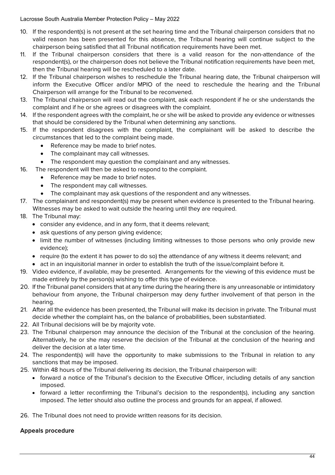- 10. If the respondent(s) is not present at the set hearing time and the Tribunal chairperson considers that no valid reason has been presented for this absence, the Tribunal hearing will continue subject to the chairperson being satisfied that all Tribunal notification requirements have been met.
- 11. If the Tribunal chairperson considers that there is a valid reason for the non-attendance of the respondent(s), or the chairperson does not believe the Tribunal notification requirements have been met, then the Tribunal hearing will be rescheduled to a later date.
- 12. If the Tribunal chairperson wishes to reschedule the Tribunal hearing date, the Tribunal chairperson will inform the Executive Officer and/or MPIO of the need to reschedule the hearing and the Tribunal Chairperson will arrange for the Tribunal to be reconvened.
- 13. The Tribunal chairperson will read out the complaint, ask each respondent if he or she understands the complaint and if he or she agrees or disagrees with the complaint.
- 14. If the respondent agrees with the complaint, he or she will be asked to provide any evidence or witnesses that should be considered by the Tribunal when determining any sanctions.
- 15. If the respondent disagrees with the complaint, the complainant will be asked to describe the circumstances that led to the complaint being made.
	- Reference may be made to brief notes.
	- The complainant may call witnesses.
	- The respondent may question the complainant and any witnesses.
- 16. The respondent will then be asked to respond to the complaint.
	- Reference may be made to brief notes.
	- The respondent may call witnesses.
	- The complainant may ask questions of the respondent and any witnesses.
- 17. The complainant and respondent(s) may be present when evidence is presented to the Tribunal hearing. Witnesses may be asked to wait outside the hearing until they are required.
- 18. The Tribunal may:
	- consider any evidence, and in any form, that it deems relevant;
	- ask questions of any person giving evidence;
	- limit the number of witnesses (including limiting witnesses to those persons who only provide new evidence);
	- require (to the extent it has power to do so) the attendance of any witness it deems relevant; and
	- act in an inquisitorial manner in order to establish the truth of the issue/complaint before it.
- 19. Video evidence, if available, may be presented. Arrangements for the viewing of this evidence must be made entirely by the person(s) wishing to offer this type of evidence.
- 20. If the Tribunal panel considers that at any time during the hearing there is any unreasonable or intimidatory behaviour from anyone, the Tribunal chairperson may deny further involvement of that person in the hearing.
- 21. After all the evidence has been presented, the Tribunal will make its decision in private. The Tribunal must decide whether the complaint has, on the balance of probabilities, been substantiated.
- 22. All Tribunal decisions will be by majority vote.
- 23. The Tribunal chairperson may announce the decision of the Tribunal at the conclusion of the hearing. Alternatively, he or she may reserve the decision of the Tribunal at the conclusion of the hearing and deliver the decision at a later time.
- 24. The respondent(s) will have the opportunity to make submissions to the Tribunal in relation to any sanctions that may be imposed.
- 25. Within 48 hours of the Tribunal delivering its decision, the Tribunal chairperson will:
	- forward a notice of the Tribunal's decision to the Executive Officer, including details of any sanction imposed.
	- forward a letter reconfirming the Tribunal's decision to the respondent(s), including any sanction imposed. The letter should also outline the process and grounds for an appeal, if allowed.
- 26. The Tribunal does not need to provide written reasons for its decision.

# Appeals procedure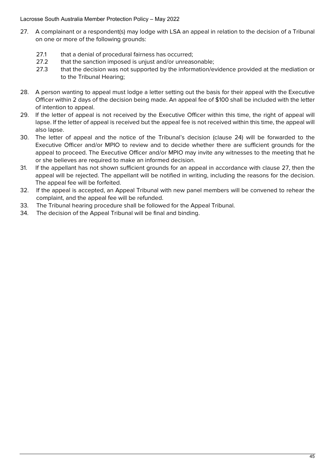- 27. A complainant or a respondent(s) may lodge with LSA an appeal in relation to the decision of a Tribunal on one or more of the following grounds:
	- 27.1 that a denial of procedural fairness has occurred;
	- 27.2 that the sanction imposed is unjust and/or unreasonable;
	- 27.3 that the decision was not supported by the information/evidence provided at the mediation or to the Tribunal Hearing;
- 28. A person wanting to appeal must lodge a letter setting out the basis for their appeal with the Executive Officer within 2 days of the decision being made. An appeal fee of \$100 shall be included with the letter of intention to appeal.
- 29. If the letter of appeal is not received by the Executive Officer within this time, the right of appeal will lapse. If the letter of appeal is received but the appeal fee is not received within this time, the appeal will also lapse.
- 30. The letter of appeal and the notice of the Tribunal's decision (clause 24) will be forwarded to the Executive Officer and/or MPIO to review and to decide whether there are sufficient grounds for the appeal to proceed. The Executive Officer and/or MPIO may invite any witnesses to the meeting that he or she believes are required to make an informed decision.
- 31. If the appellant has not shown sufficient grounds for an appeal in accordance with clause 27, then the appeal will be rejected. The appellant will be notified in writing, including the reasons for the decision. The appeal fee will be forfeited.
- 32. If the appeal is accepted, an Appeal Tribunal with new panel members will be convened to rehear the complaint, and the appeal fee will be refunded.
- 33. The Tribunal hearing procedure shall be followed for the Appeal Tribunal.
- 34. The decision of the Appeal Tribunal will be final and binding.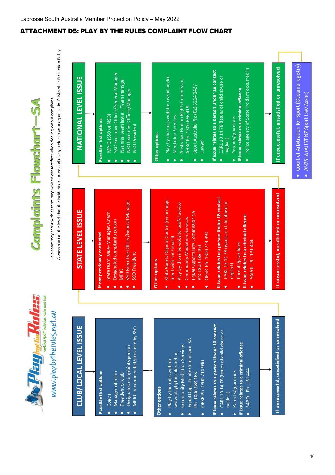

# $Complains$  Flowchart $-SA$

<span id="page-45-0"></span>Always start at the level that the incident occurred and always refer to your organisation's Member Protection Policy This chart may assist with determining who to contact first when dealing with a complaint.



ANZSLA (AUST NZ Sport Law Assoc)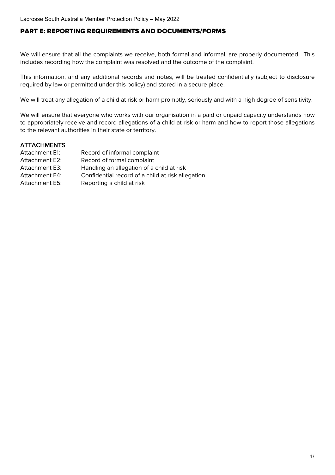# <span id="page-46-0"></span>PART E: REPORTING REQUIREMENTS AND DOCUMENTS/FORMS

We will ensure that all the complaints we receive, both formal and informal, are properly documented. This includes recording how the complaint was resolved and the outcome of the complaint.

This information, and any additional records and notes, will be treated confidentially (subject to disclosure required by law or permitted under this policy) and stored in a secure place.

We will treat any allegation of a child at risk or harm promptly, seriously and with a high degree of sensitivity.

We will ensure that everyone who works with our organisation in a paid or unpaid capacity understands how to appropriately receive and record allegations of a child at risk or harm and how to report those allegations to the relevant authorities in their state or territory.

# **ATTACHMENTS**

| Attachment E1:        | Record of informal complaint                      |
|-----------------------|---------------------------------------------------|
| <b>Attachment E2:</b> | Record of formal complaint                        |
| <b>Attachment E3:</b> | Handling an allegation of a child at risk         |
| <b>Attachment E4:</b> | Confidential record of a child at risk allegation |
| Attachment E5:        | Reporting a child at risk                         |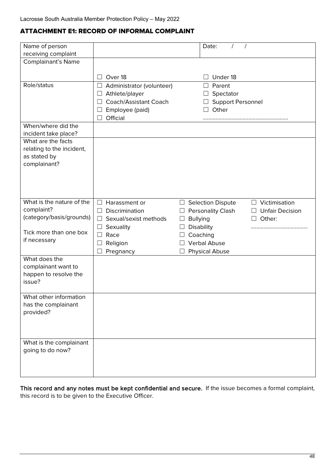# <span id="page-47-0"></span>ATTACHMENT E1: RECORD OF INFORMAL COMPLAINT

| Name of person                            |                                 | Date:                                                                    |
|-------------------------------------------|---------------------------------|--------------------------------------------------------------------------|
| receiving complaint                       |                                 |                                                                          |
| Complainant's Name                        |                                 |                                                                          |
|                                           |                                 | Under 18                                                                 |
|                                           | Over 18                         |                                                                          |
| Role/status                               | Administrator (volunteer)<br>⊔  | Parent<br>$\Box$                                                         |
|                                           | Athlete/player<br>$\Box$        | Spectator                                                                |
|                                           | Coach/Assistant Coach           | <b>Support Personnel</b>                                                 |
|                                           | Employee (paid)<br>⊔            | Other                                                                    |
|                                           | Official                        |                                                                          |
| When/where did the                        |                                 |                                                                          |
| incident take place?                      |                                 |                                                                          |
| What are the facts                        |                                 |                                                                          |
| relating to the incident,<br>as stated by |                                 |                                                                          |
| complainant?                              |                                 |                                                                          |
|                                           |                                 |                                                                          |
|                                           |                                 |                                                                          |
|                                           |                                 |                                                                          |
|                                           |                                 |                                                                          |
| What is the nature of the                 | $\Box$<br>Harassment or         | <b>Selection Dispute</b><br>Victimisation<br>$\Box$<br>$\vert \ \ \vert$ |
| complaint?                                | Discrimination<br>ப             | <b>Unfair Decision</b><br><b>Personality Clash</b>                       |
| (category/basis/grounds)                  | Sexual/sexist methods<br>$\Box$ | <b>Bullying</b><br>Other:<br>⊔                                           |
|                                           | Sexuality<br>ப                  | Disability                                                               |
| Tick more than one box                    | Race<br>$\vert \ \ \vert$       | Coaching                                                                 |
| if necessary                              | Religion<br>⊔                   | <b>Verbal Abuse</b>                                                      |
|                                           | Pregnancy                       | <b>Physical Abuse</b>                                                    |
| What does the                             |                                 |                                                                          |
| complainant want to                       |                                 |                                                                          |
| happen to resolve the                     |                                 |                                                                          |
| issue?                                    |                                 |                                                                          |
|                                           |                                 |                                                                          |
| What other information                    |                                 |                                                                          |
| has the complainant                       |                                 |                                                                          |
| provided?                                 |                                 |                                                                          |
|                                           |                                 |                                                                          |
|                                           |                                 |                                                                          |
|                                           |                                 |                                                                          |
| What is the complainant                   |                                 |                                                                          |
| going to do now?                          |                                 |                                                                          |
|                                           |                                 |                                                                          |
|                                           |                                 |                                                                          |
|                                           |                                 |                                                                          |

This record and any notes must be kept confidential and secure. If the issue becomes a formal complaint, this record is to be given to the Executive Officer.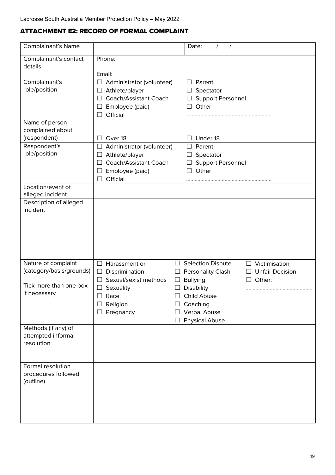# <span id="page-48-0"></span>ATTACHMENT E2: RECORD OF FORMAL COMPLAINT

| <b>Complainant's Name</b>                               |                                                                                                                              | Date:                                                                                                               |
|---------------------------------------------------------|------------------------------------------------------------------------------------------------------------------------------|---------------------------------------------------------------------------------------------------------------------|
| Complainant's contact<br>details                        | Phone:<br>Email:                                                                                                             |                                                                                                                     |
| Complainant's<br>role/position                          | Administrator (volunteer)<br>$\Box$<br>Athlete/player<br>ப<br>Coach/Assistant Coach<br>Employee (paid)<br>$\Box$<br>Official | Parent<br>$\perp$<br>Spectator<br>⊔<br><b>Support Personnel</b><br>Other                                            |
| Name of person<br>complained about<br>(respondent)      | Over 18<br>$\Box$                                                                                                            | Under 18                                                                                                            |
| Respondent's<br>role/position                           | Administrator (volunteer)<br>⊔<br>Athlete/player<br>ப<br>Coach/Assistant Coach<br>Employee (paid)<br>$\sqcup$<br>Official    | Parent<br>$\perp$<br>Spectator<br>⊔<br><b>Support Personnel</b><br>Other                                            |
| Location/event of<br>alleged incident                   |                                                                                                                              |                                                                                                                     |
| Description of alleged<br>incident                      |                                                                                                                              |                                                                                                                     |
| Nature of complaint<br>(category/basis/grounds)         | Harassment or<br>$\Box$<br>Discrimination<br>$\Box$                                                                          | <b>Selection Dispute</b><br>Victimisation<br>$\Box$<br>$\Box$<br><b>Personality Clash</b><br><b>Unfair Decision</b> |
| Tick more than one box<br>if necessary                  | Sexual/sexist methods<br>⊔<br>Sexuality<br>ப<br>Race<br>Religion<br>ш<br>Pregnancy<br>ш                                      | <b>Bullying</b><br>Other:<br>Disability<br>Child Abuse<br>Coaching<br><b>Verbal Abuse</b><br><b>Physical Abuse</b>  |
| Methods (if any) of<br>attempted informal<br>resolution |                                                                                                                              |                                                                                                                     |
| Formal resolution<br>procedures followed<br>(outline)   |                                                                                                                              |                                                                                                                     |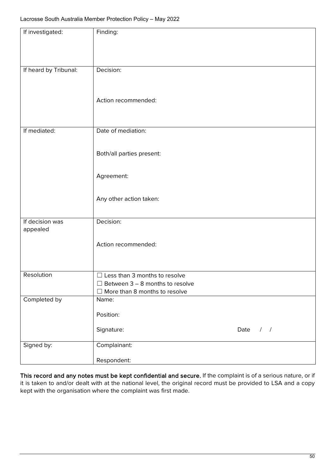| If investigated:      | Finding:                               |  |
|-----------------------|----------------------------------------|--|
|                       |                                        |  |
|                       |                                        |  |
| If heard by Tribunal: | Decision:                              |  |
|                       |                                        |  |
|                       | Action recommended:                    |  |
|                       |                                        |  |
| If mediated:          | Date of mediation:                     |  |
|                       |                                        |  |
|                       | Both/all parties present:              |  |
|                       |                                        |  |
|                       | Agreement:                             |  |
|                       |                                        |  |
|                       | Any other action taken:                |  |
| If decision was       | Decision:                              |  |
| appealed              |                                        |  |
|                       | Action recommended:                    |  |
|                       |                                        |  |
| Resolution            | $\Box$ Less than 3 months to resolve   |  |
|                       | $\Box$ Between 3 - 8 months to resolve |  |
|                       | $\Box$ More than 8 months to resolve   |  |
| Completed by          | Name:                                  |  |
|                       | Position:                              |  |
|                       | Signature:<br>$\frac{1}{2}$<br>Date    |  |
| Signed by:            | Complainant:                           |  |
|                       | Respondent:                            |  |

This record and any notes must be kept confidential and secure. If the complaint is of a serious nature, or if it is taken to and/or dealt with at the national level, the original record must be provided to LSA and a copy kept with the organisation where the complaint was first made.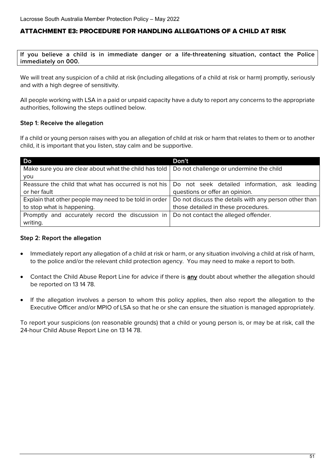# <span id="page-50-0"></span>ATTACHMENT E3: PROCEDURE FOR HANDLING ALLEGATIONS OF A CHILD AT RISK

**If you believe a child is in immediate danger or a life-threatening situation, contact the Police immediately on 000.** 

We will treat any suspicion of a child at risk (including allegations of a child at risk or harm) promptly, seriously and with a high degree of sensitivity.

All people working with LSA in a paid or unpaid capacity have a duty to report any concerns to the appropriate authorities, following the steps outlined below.

#### Step 1: Receive the allegation

If a child or young person raises with you an allegation of child at risk or harm that relates to them or to another child, it is important that you listen, stay calm and be supportive.

| Do                                                     | Don't                                                                                                |
|--------------------------------------------------------|------------------------------------------------------------------------------------------------------|
| Make sure you are clear about what the child has told  | Do not challenge or undermine the child                                                              |
| you                                                    |                                                                                                      |
|                                                        | Reassure the child that what has occurred is not his   Do not seek detailed information, ask leading |
| or her fault                                           | questions or offer an opinion.                                                                       |
| Explain that other people may need to be told in order | Do not discuss the details with any person other than                                                |
| to stop what is happening.                             | those detailed in these procedures.                                                                  |
| Promptly and accurately record the discussion in       | Do not contact the alleged offender.                                                                 |
| writing.                                               |                                                                                                      |

#### Step 2: Report the allegation

- Immediately report any allegation of a child at risk or harm, or any situation involving a child at risk of harm, to the police and/or the relevant child protection agency. You may need to make a report to both.
- Contact the Child Abuse Report Line for advice if there is any doubt about whether the allegation should be reported on 13 14 78.
- If the allegation involves a person to whom this policy applies, then also report the allegation to the Executive Officer and/or MPIO of LSA so that he or she can ensure the situation is managed appropriately.

To report your suspicions (on reasonable grounds) that a child or young person is, or may be at risk, call the 24-hour Child Abuse Report Line on 13 14 78.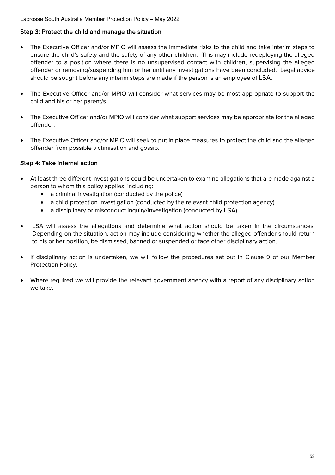# Step 3: Protect the child and manage the situation

- The Executive Officer and/or MPIO will assess the immediate risks to the child and take interim steps to ensure the child's safety and the safety of any other children. This may include redeploying the alleged offender to a position where there is no unsupervised contact with children, supervising the alleged offender or removing/suspending him or her until any investigations have been concluded. Legal advice should be sought before any interim steps are made if the person is an employee of LSA.
- The Executive Officer and/or MPIO will consider what services may be most appropriate to support the child and his or her parent/s.
- The Executive Officer and/or MPIO will consider what support services may be appropriate for the alleged offender.
- The Executive Officer and/or MPIO will seek to put in place measures to protect the child and the alleged offender from possible victimisation and gossip.

# Step 4: Take internal action

- At least three different investigations could be undertaken to examine allegations that are made against a person to whom this policy applies, including:
	- a criminal investigation (conducted by the police)
	- a child protection investigation (conducted by the relevant child protection agency)
	- a disciplinary or misconduct inquiry/investigation (conducted by LSA).
- LSA will assess the allegations and determine what action should be taken in the circumstances. Depending on the situation, action may include considering whether the alleged offender should return to his or her position, be dismissed, banned or suspended or face other disciplinary action.
- If disciplinary action is undertaken, we will follow the procedures set out in Clause 9 of our Member Protection Policy.
- Where required we will provide the relevant government agency with a report of any disciplinary action we take.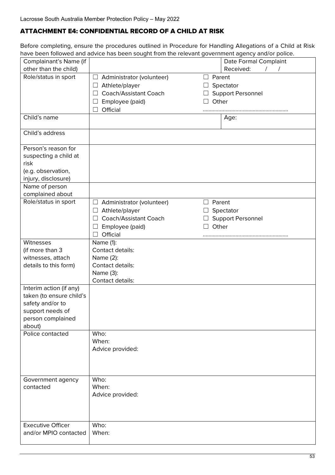# <span id="page-52-0"></span>ATTACHMENT E4: CONFIDENTIAL RECORD OF A CHILD AT RISK

Before completing, ensure the procedures outlined in Procedure for Handling Allegations of a Child at Risk have been followed and advice has been sought from the relevant government agency and/or police.

| Complainant's Name (if                                                                                                     |                                                                                                                                                        |         | Date Formal Complaint                                    |
|----------------------------------------------------------------------------------------------------------------------------|--------------------------------------------------------------------------------------------------------------------------------------------------------|---------|----------------------------------------------------------|
| other than the child)                                                                                                      |                                                                                                                                                        |         | Received:<br>$\prime$                                    |
| Role/status in sport                                                                                                       | Administrator (volunteer)<br>ப                                                                                                                         | ப       | Parent                                                   |
|                                                                                                                            | Athlete/player<br>$\sqcup$                                                                                                                             | ப       | Spectator                                                |
|                                                                                                                            | Coach/Assistant Coach<br>$\Box$                                                                                                                        |         | <b>Support Personnel</b>                                 |
|                                                                                                                            | Employee (paid)<br>Official<br>$\perp$                                                                                                                 |         | Other                                                    |
| Child's name                                                                                                               |                                                                                                                                                        |         | Age:                                                     |
| Child's address                                                                                                            |                                                                                                                                                        |         |                                                          |
| Person's reason for<br>suspecting a child at<br>risk<br>(e.g. observation,<br>injury, disclosure)                          |                                                                                                                                                        |         |                                                          |
| Name of person<br>complained about                                                                                         |                                                                                                                                                        |         |                                                          |
| Role/status in sport                                                                                                       | Administrator (volunteer)<br>$\Box$<br>Athlete/player<br>$\Box$<br>Coach/Assistant Coach<br>$\Box$<br>Employee (paid)<br>Official<br>$\vert \ \ \vert$ | $\perp$ | Parent<br>Spectator<br><b>Support Personnel</b><br>Other |
| Witnesses<br>(if more than 3<br>witnesses, attach<br>details to this form)                                                 | Name (1):<br>Contact details:<br>Name (2):<br>Contact details:<br>Name (3):<br>Contact details:                                                        |         |                                                          |
| Interim action (if any)<br>taken (to ensure child's<br>safety and/or to<br>support needs of<br>person complained<br>about) |                                                                                                                                                        |         |                                                          |
| Police contacted                                                                                                           | Who:<br>When:<br>Advice provided:                                                                                                                      |         |                                                          |
| Government agency<br>contacted                                                                                             | Who:<br>When:<br>Advice provided:                                                                                                                      |         |                                                          |
| <b>Executive Officer</b><br>and/or MPIO contacted                                                                          | Who:<br>When:                                                                                                                                          |         |                                                          |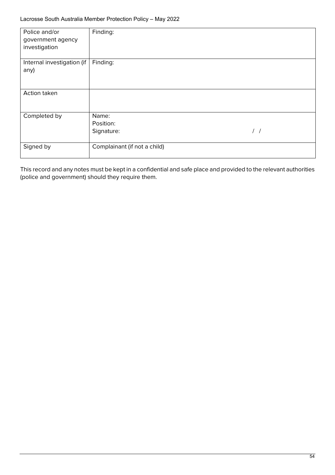| Police and/or<br>government agency<br>investigation | Finding:                         |                  |
|-----------------------------------------------------|----------------------------------|------------------|
| Internal investigation (if<br>any)                  | Finding:                         |                  |
| Action taken                                        |                                  |                  |
| Completed by                                        | Name:<br>Position:<br>Signature: | $\left  \right $ |
| Signed by                                           | Complainant (if not a child)     |                  |

This record and any notes must be kept in a confidential and safe place and provided to the relevant authorities (police and government) should they require them.